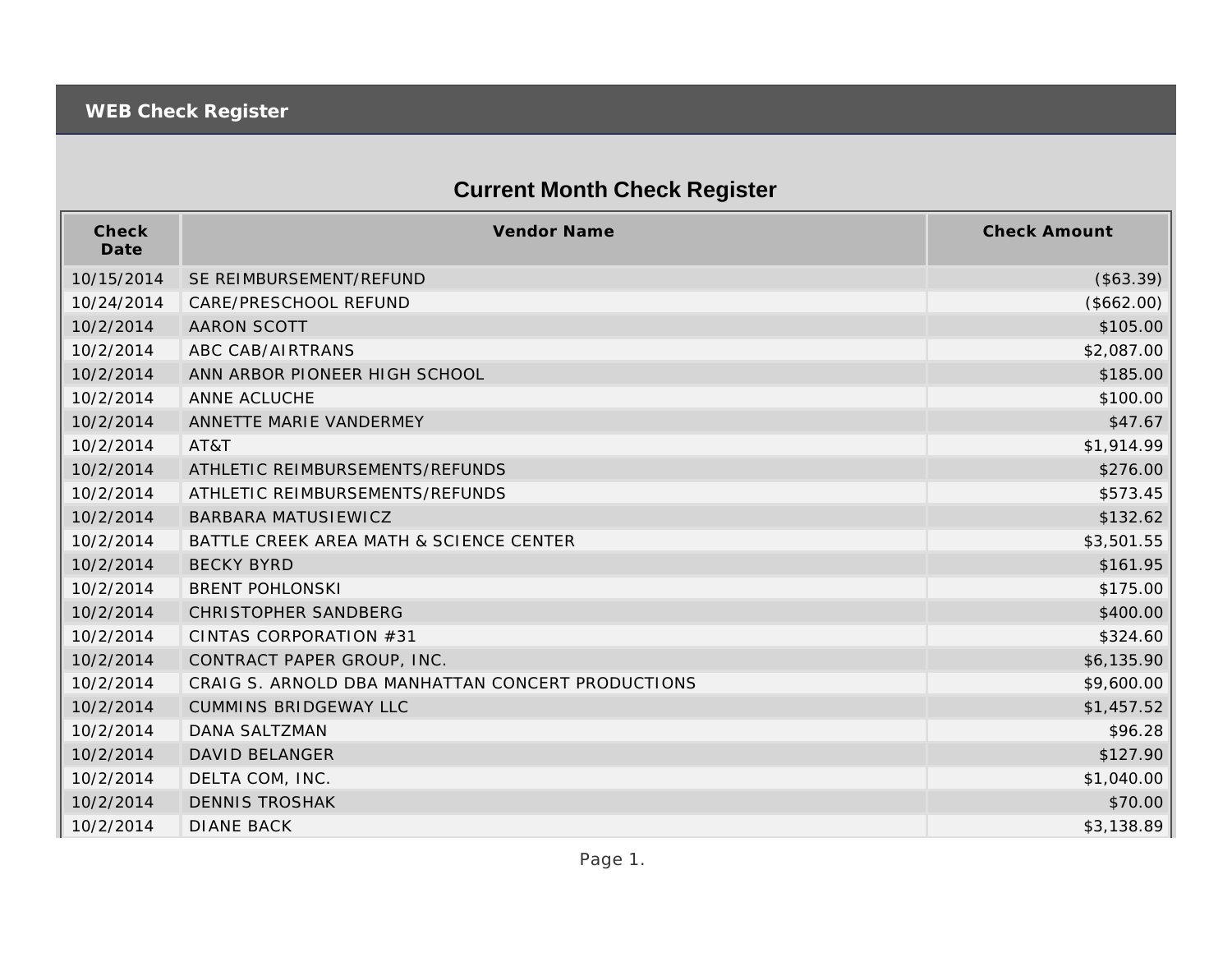## **Current Month Check Register**

| Check<br>Date | <b>Vendor Name</b>                                | <b>Check Amount</b> |
|---------------|---------------------------------------------------|---------------------|
| 10/15/2014    | SE REIMBURSEMENT/REFUND                           | (\$63.39)           |
| 10/24/2014    | CARE/PRESCHOOL REFUND                             | (\$662.00)          |
| 10/2/2014     | <b>AARON SCOTT</b>                                | \$105.00            |
| 10/2/2014     | ABC CAB/AIRTRANS                                  | \$2,087.00          |
| 10/2/2014     | ANN ARBOR PIONEER HIGH SCHOOL                     | \$185.00            |
| 10/2/2014     | ANNE ACLUCHE                                      | \$100.00            |
| 10/2/2014     | ANNETTE MARIE VANDERMEY                           | \$47.67             |
| 10/2/2014     | AT&T                                              | \$1,914.99          |
| 10/2/2014     | ATHLETIC REIMBURSEMENTS/REFUNDS                   | \$276.00            |
| 10/2/2014     | ATHLETIC REIMBURSEMENTS/REFUNDS                   | \$573.45            |
| 10/2/2014     | BARBARA MATUSIEWICZ                               | \$132.62            |
| 10/2/2014     | BATTLE CREEK AREA MATH & SCIENCE CENTER           | \$3,501.55          |
| 10/2/2014     | <b>BECKY BYRD</b>                                 | \$161.95            |
| 10/2/2014     | <b>BRENT POHLONSKI</b>                            | \$175.00            |
| 10/2/2014     | CHRISTOPHER SANDBERG                              | \$400.00            |
| 10/2/2014     | CINTAS CORPORATION #31                            | \$324.60            |
| 10/2/2014     | CONTRACT PAPER GROUP, INC.                        | \$6,135.90          |
| 10/2/2014     | CRAIG S. ARNOLD DBA MANHATTAN CONCERT PRODUCTIONS | \$9,600.00          |
| 10/2/2014     | <b>CUMMINS BRIDGEWAY LLC</b>                      | \$1,457.52          |
| 10/2/2014     | DANA SALTZMAN                                     | \$96.28             |
| 10/2/2014     | <b>DAVID BELANGER</b>                             | \$127.90            |
| 10/2/2014     | DELTA COM, INC.                                   | \$1,040.00          |
| 10/2/2014     | <b>DENNIS TROSHAK</b>                             | \$70.00             |
| 10/2/2014     | <b>DIANE BACK</b>                                 | \$3,138.89          |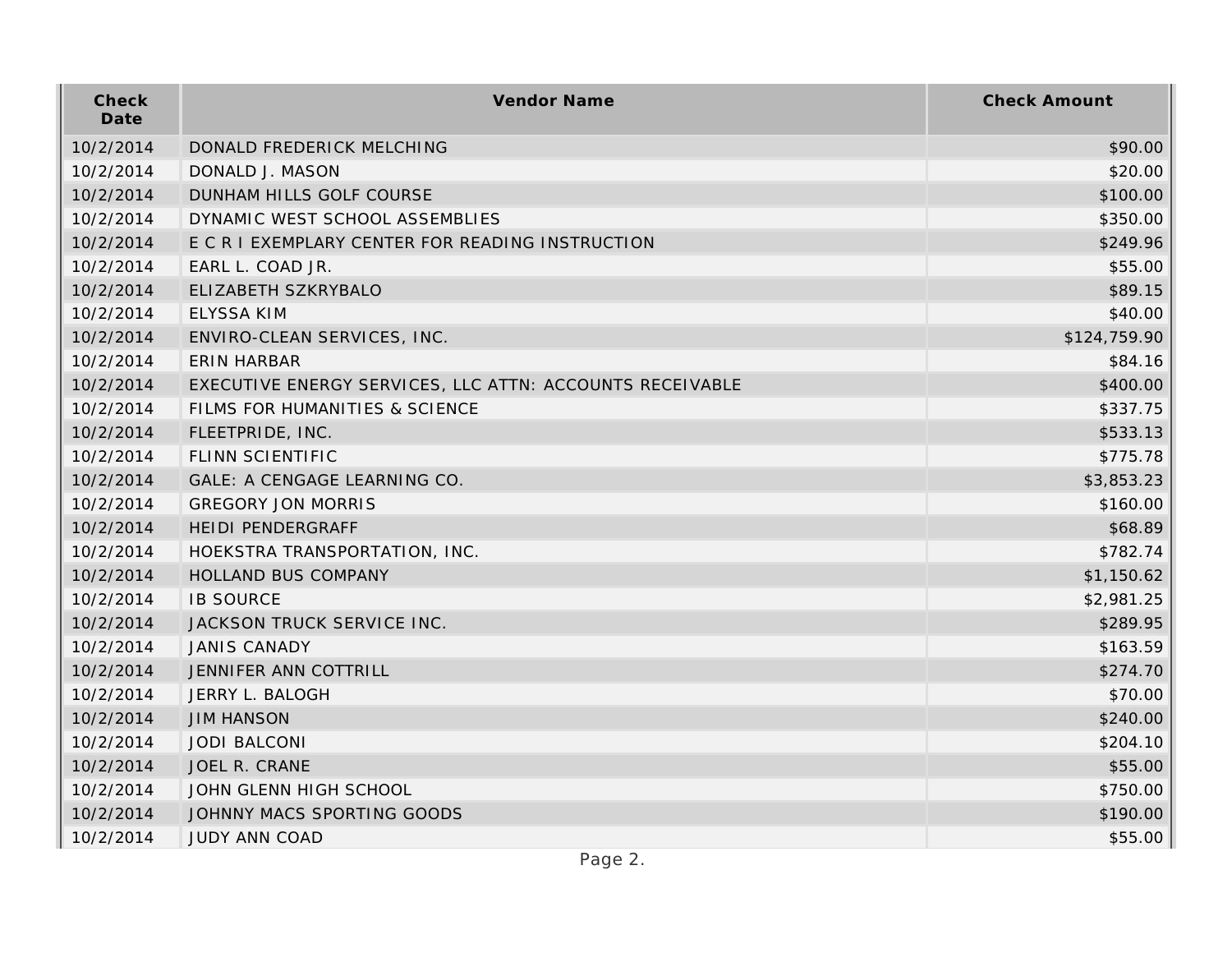| Check<br>Date | Vendor Name                                              | <b>Check Amount</b> |
|---------------|----------------------------------------------------------|---------------------|
| 10/2/2014     | DONALD FREDERICK MELCHING                                | \$90.00             |
| 10/2/2014     | DONALD J. MASON                                          | \$20.00             |
| 10/2/2014     | DUNHAM HILLS GOLF COURSE                                 | \$100.00            |
| 10/2/2014     | DYNAMIC WEST SCHOOL ASSEMBLIES                           | \$350.00            |
| 10/2/2014     | E C R I EXEMPLARY CENTER FOR READING INSTRUCTION         | \$249.96            |
| 10/2/2014     | EARL L. COAD JR.                                         | \$55.00             |
| 10/2/2014     | ELIZABETH SZKRYBALO                                      | \$89.15             |
| 10/2/2014     | <b>ELYSSA KIM</b>                                        | \$40.00             |
| 10/2/2014     | ENVIRO-CLEAN SERVICES, INC.                              | \$124,759.90        |
| 10/2/2014     | ERIN HARBAR                                              | \$84.16             |
| 10/2/2014     | EXECUTIVE ENERGY SERVICES, LLC ATTN: ACCOUNTS RECEIVABLE | \$400.00            |
| 10/2/2014     | FILMS FOR HUMANITIES & SCIENCE                           | \$337.75            |
| 10/2/2014     | FLEETPRIDE, INC.                                         | \$533.13            |
| 10/2/2014     | FLINN SCIENTIFIC                                         | \$775.78            |
| 10/2/2014     | GALE: A CENGAGE LEARNING CO.                             | \$3,853.23          |
| 10/2/2014     | <b>GREGORY JON MORRIS</b>                                | \$160.00            |
| 10/2/2014     | <b>HEIDI PENDERGRAFF</b>                                 | \$68.89             |
| 10/2/2014     | HOEKSTRA TRANSPORTATION, INC.                            | \$782.74            |
| 10/2/2014     | HOLLAND BUS COMPANY                                      | \$1,150.62          |
| 10/2/2014     | <b>IB SOURCE</b>                                         | \$2,981.25          |
| 10/2/2014     | JACKSON TRUCK SERVICE INC.                               | \$289.95            |
| 10/2/2014     | <b>JANIS CANADY</b>                                      | \$163.59            |
| 10/2/2014     | JENNIFER ANN COTTRILL                                    | \$274.70            |
| 10/2/2014     | JERRY L. BALOGH                                          | \$70.00             |
| 10/2/2014     | <b>JIM HANSON</b>                                        | \$240.00            |
| 10/2/2014     | <b>JODI BALCONI</b>                                      | \$204.10            |
| 10/2/2014     | JOEL R. CRANE                                            | \$55.00             |
| 10/2/2014     | JOHN GLENN HIGH SCHOOL                                   | \$750.00            |
| 10/2/2014     | JOHNNY MACS SPORTING GOODS                               | \$190.00            |
| 10/2/2014     | <b>JUDY ANN COAD</b>                                     | \$55.00             |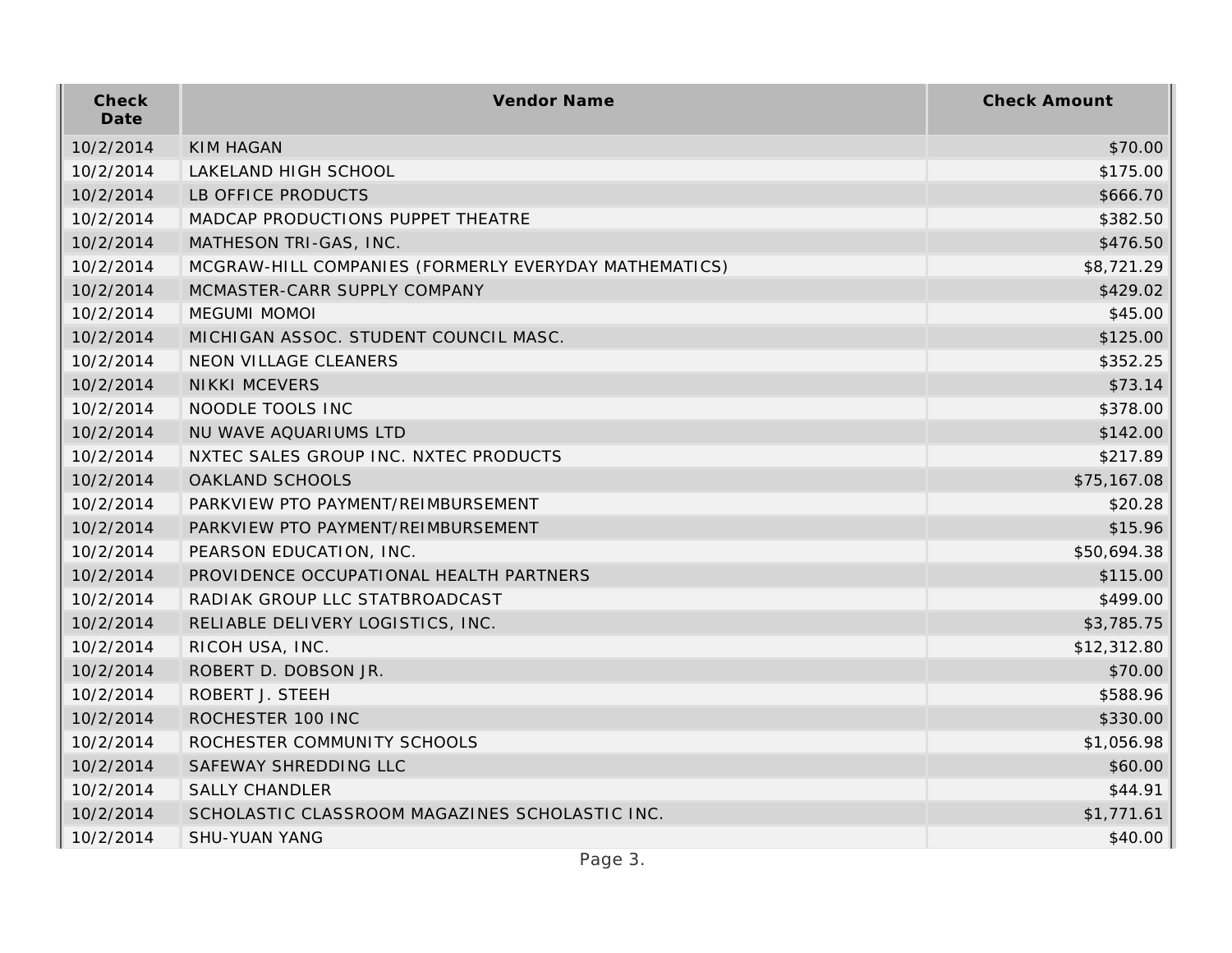| Check<br>Date | Vendor Name                                           | <b>Check Amount</b> |
|---------------|-------------------------------------------------------|---------------------|
| 10/2/2014     | <b>KIM HAGAN</b>                                      | \$70.00             |
| 10/2/2014     | LAKELAND HIGH SCHOOL                                  | \$175.00            |
| 10/2/2014     | LB OFFICE PRODUCTS                                    | \$666.70            |
| 10/2/2014     | MADCAP PRODUCTIONS PUPPET THEATRE                     | \$382.50            |
| 10/2/2014     | MATHESON TRI-GAS, INC.                                | \$476.50            |
| 10/2/2014     | MCGRAW-HILL COMPANIES (FORMERLY EVERYDAY MATHEMATICS) | \$8,721.29          |
| 10/2/2014     | MCMASTER-CARR SUPPLY COMPANY                          | \$429.02            |
| 10/2/2014     | <b>MEGUMI MOMOI</b>                                   | \$45.00             |
| 10/2/2014     | MICHIGAN ASSOC. STUDENT COUNCIL MASC.                 | \$125.00            |
| 10/2/2014     | NEON VILLAGE CLEANERS                                 | \$352.25            |
| 10/2/2014     | <b>NIKKI MCEVERS</b>                                  | \$73.14             |
| 10/2/2014     | NOODLE TOOLS INC                                      | \$378.00            |
| 10/2/2014     | NU WAVE AQUARIUMS LTD                                 | \$142.00            |
| 10/2/2014     | NXTEC SALES GROUP INC. NXTEC PRODUCTS                 | \$217.89            |
| 10/2/2014     | OAKLAND SCHOOLS                                       | \$75,167.08         |
| 10/2/2014     | PARKVIEW PTO PAYMENT/REIMBURSEMENT                    | \$20.28             |
| 10/2/2014     | PARKVIEW PTO PAYMENT/REIMBURSEMENT                    | \$15.96             |
| 10/2/2014     | PEARSON EDUCATION, INC.                               | \$50,694.38         |
| 10/2/2014     | PROVIDENCE OCCUPATIONAL HEALTH PARTNERS               | \$115.00            |
| 10/2/2014     | RADIAK GROUP LLC STATBROADCAST                        | \$499.00            |
| 10/2/2014     | RELIABLE DELIVERY LOGISTICS, INC.                     | \$3,785.75          |
| 10/2/2014     | RICOH USA, INC.                                       | \$12,312.80         |
| 10/2/2014     | ROBERT D. DOBSON JR.                                  | \$70.00             |
| 10/2/2014     | ROBERT J. STEEH                                       | \$588.96            |
| 10/2/2014     | ROCHESTER 100 INC                                     | \$330.00            |
| 10/2/2014     | ROCHESTER COMMUNITY SCHOOLS                           | \$1,056.98          |
| 10/2/2014     | SAFEWAY SHREDDING LLC                                 | \$60.00             |
| 10/2/2014     | <b>SALLY CHANDLER</b>                                 | \$44.91             |
| 10/2/2014     | SCHOLASTIC CLASSROOM MAGAZINES SCHOLASTIC INC.        | \$1,771.61          |
| 10/2/2014     | <b>SHU-YUAN YANG</b>                                  | \$40.00             |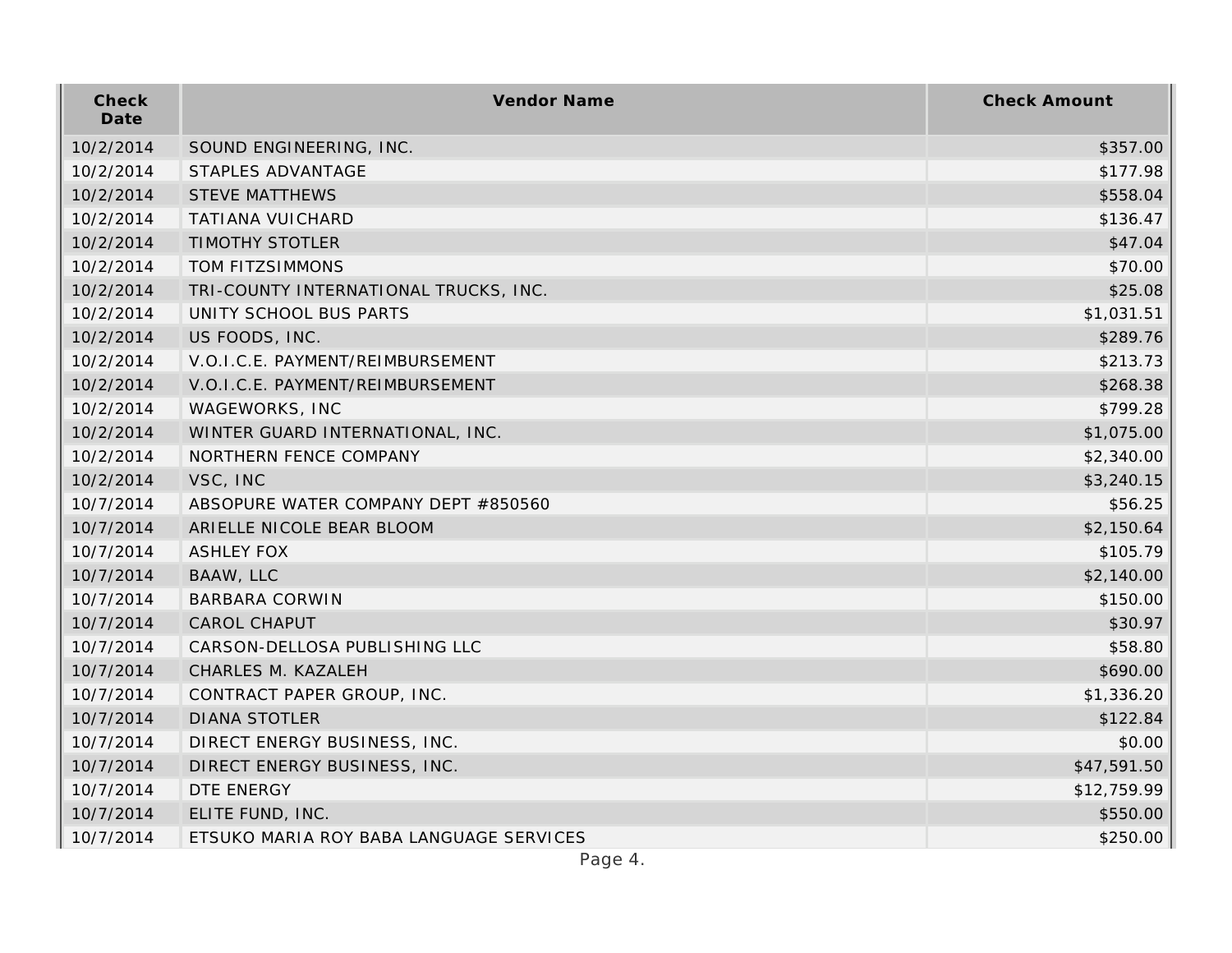| Check<br>Date | Vendor Name                             | <b>Check Amount</b> |
|---------------|-----------------------------------------|---------------------|
| 10/2/2014     | SOUND ENGINEERING, INC.                 | \$357.00            |
| 10/2/2014     | STAPLES ADVANTAGE                       | \$177.98            |
| 10/2/2014     | <b>STEVE MATTHEWS</b>                   | \$558.04            |
| 10/2/2014     | <b>TATIANA VUICHARD</b>                 | \$136.47            |
| 10/2/2014     | <b>TIMOTHY STOTLER</b>                  | \$47.04             |
| 10/2/2014     | TOM FITZSIMMONS                         | \$70.00             |
| 10/2/2014     | TRI-COUNTY INTERNATIONAL TRUCKS, INC.   | \$25.08             |
| 10/2/2014     | UNITY SCHOOL BUS PARTS                  | \$1,031.51          |
| 10/2/2014     | US FOODS, INC.                          | \$289.76            |
| 10/2/2014     | V.O.I.C.E. PAYMENT/REIMBURSEMENT        | \$213.73            |
| 10/2/2014     | V.O.I.C.E. PAYMENT/REIMBURSEMENT        | \$268.38            |
| 10/2/2014     | WAGEWORKS, INC                          | \$799.28            |
| 10/2/2014     | WINTER GUARD INTERNATIONAL, INC.        | \$1,075.00          |
| 10/2/2014     | NORTHERN FENCE COMPANY                  | \$2,340.00          |
| 10/2/2014     | VSC, INC                                | \$3,240.15          |
| 10/7/2014     | ABSOPURE WATER COMPANY DEPT #850560     | \$56.25             |
| 10/7/2014     | ARIELLE NICOLE BEAR BLOOM               | \$2,150.64          |
| 10/7/2014     | <b>ASHLEY FOX</b>                       | \$105.79            |
| 10/7/2014     | BAAW, LLC                               | \$2,140.00          |
| 10/7/2014     | <b>BARBARA CORWIN</b>                   | \$150.00            |
| 10/7/2014     | <b>CAROL CHAPUT</b>                     | \$30.97             |
| 10/7/2014     | CARSON-DELLOSA PUBLISHING LLC           | \$58.80             |
| 10/7/2014     | CHARLES M. KAZALEH                      | \$690.00            |
| 10/7/2014     | CONTRACT PAPER GROUP, INC.              | \$1,336.20          |
| 10/7/2014     | <b>DIANA STOTLER</b>                    | \$122.84            |
| 10/7/2014     | DIRECT ENERGY BUSINESS, INC.            | \$0.00              |
| 10/7/2014     | DIRECT ENERGY BUSINESS, INC.            | \$47,591.50         |
| 10/7/2014     | DTE ENERGY                              | \$12,759.99         |
| 10/7/2014     | ELITE FUND, INC.                        | \$550.00            |
| 10/7/2014     | ETSUKO MARIA ROY BABA LANGUAGE SERVICES | \$250.00            |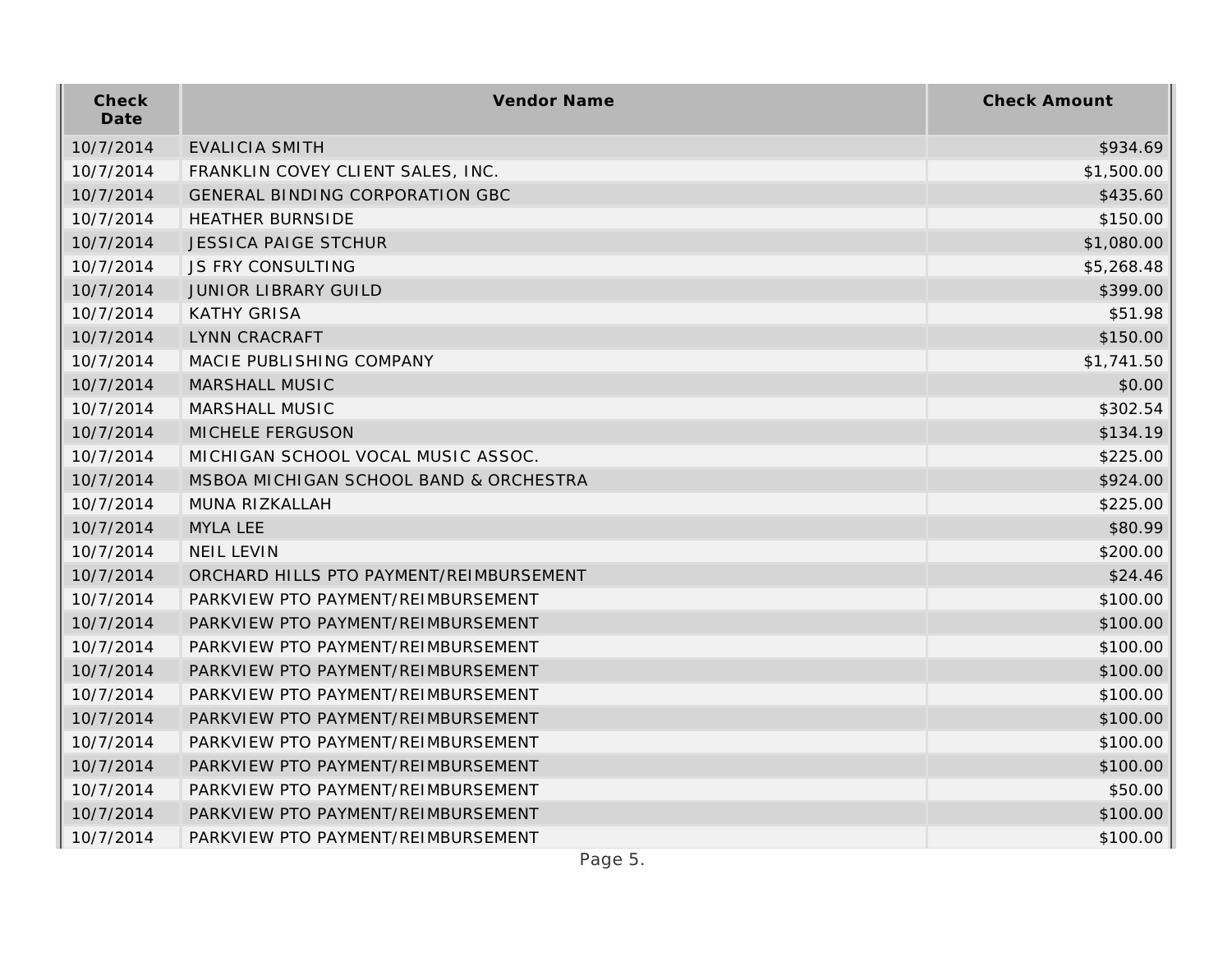| Check<br>Date | Vendor Name                             | <b>Check Amount</b> |
|---------------|-----------------------------------------|---------------------|
| 10/7/2014     | EVALICIA SMITH                          | \$934.69            |
| 10/7/2014     | FRANKLIN COVEY CLIENT SALES, INC.       | \$1,500.00          |
| 10/7/2014     | <b>GENERAL BINDING CORPORATION GBC</b>  | \$435.60            |
| 10/7/2014     | <b>HEATHER BURNSIDE</b>                 | \$150.00            |
| 10/7/2014     | <b>JESSICA PAIGE STCHUR</b>             | \$1,080.00          |
| 10/7/2014     | <b>JS FRY CONSULTING</b>                | \$5,268.48          |
| 10/7/2014     | <b>JUNIOR LIBRARY GUILD</b>             | \$399.00            |
| 10/7/2014     | <b>KATHY GRISA</b>                      | \$51.98             |
| 10/7/2014     | LYNN CRACRAFT                           | \$150.00            |
| 10/7/2014     | MACIE PUBLISHING COMPANY                | \$1,741.50          |
| 10/7/2014     | MARSHALL MUSIC                          | \$0.00              |
| 10/7/2014     | MARSHALL MUSIC                          | \$302.54            |
| 10/7/2014     | MICHELE FERGUSON                        | \$134.19            |
| 10/7/2014     | MICHIGAN SCHOOL VOCAL MUSIC ASSOC.      | \$225.00            |
| 10/7/2014     | MSBOA MICHIGAN SCHOOL BAND & ORCHESTRA  | \$924.00            |
| 10/7/2014     | MUNA RIZKALLAH                          | \$225.00            |
| 10/7/2014     | <b>MYLA LEE</b>                         | \$80.99             |
| 10/7/2014     | <b>NEIL LEVIN</b>                       | \$200.00            |
| 10/7/2014     | ORCHARD HILLS PTO PAYMENT/REIMBURSEMENT | \$24.46             |
| 10/7/2014     | PARKVIEW PTO PAYMENT/REIMBURSEMENT      | \$100.00            |
| 10/7/2014     | PARKVIEW PTO PAYMENT/REIMBURSEMENT      | \$100.00            |
| 10/7/2014     | PARKVIEW PTO PAYMENT/REIMBURSEMENT      | \$100.00            |
| 10/7/2014     | PARKVIEW PTO PAYMENT/REIMBURSEMENT      | \$100.00            |
| 10/7/2014     | PARKVIEW PTO PAYMENT/REIMBURSEMENT      | \$100.00            |
| 10/7/2014     | PARKVIEW PTO PAYMENT/REIMBURSEMENT      | \$100.00            |
| 10/7/2014     | PARKVIEW PTO PAYMENT/REIMBURSEMENT      | \$100.00            |
| 10/7/2014     | PARKVIEW PTO PAYMENT/REIMBURSEMENT      | \$100.00            |
| 10/7/2014     | PARKVIEW PTO PAYMENT/REIMBURSEMENT      | \$50.00             |
| 10/7/2014     | PARKVIEW PTO PAYMENT/REIMBURSEMENT      | \$100.00            |
| 10/7/2014     | PARKVIEW PTO PAYMENT/REIMBURSEMENT      | \$100.00            |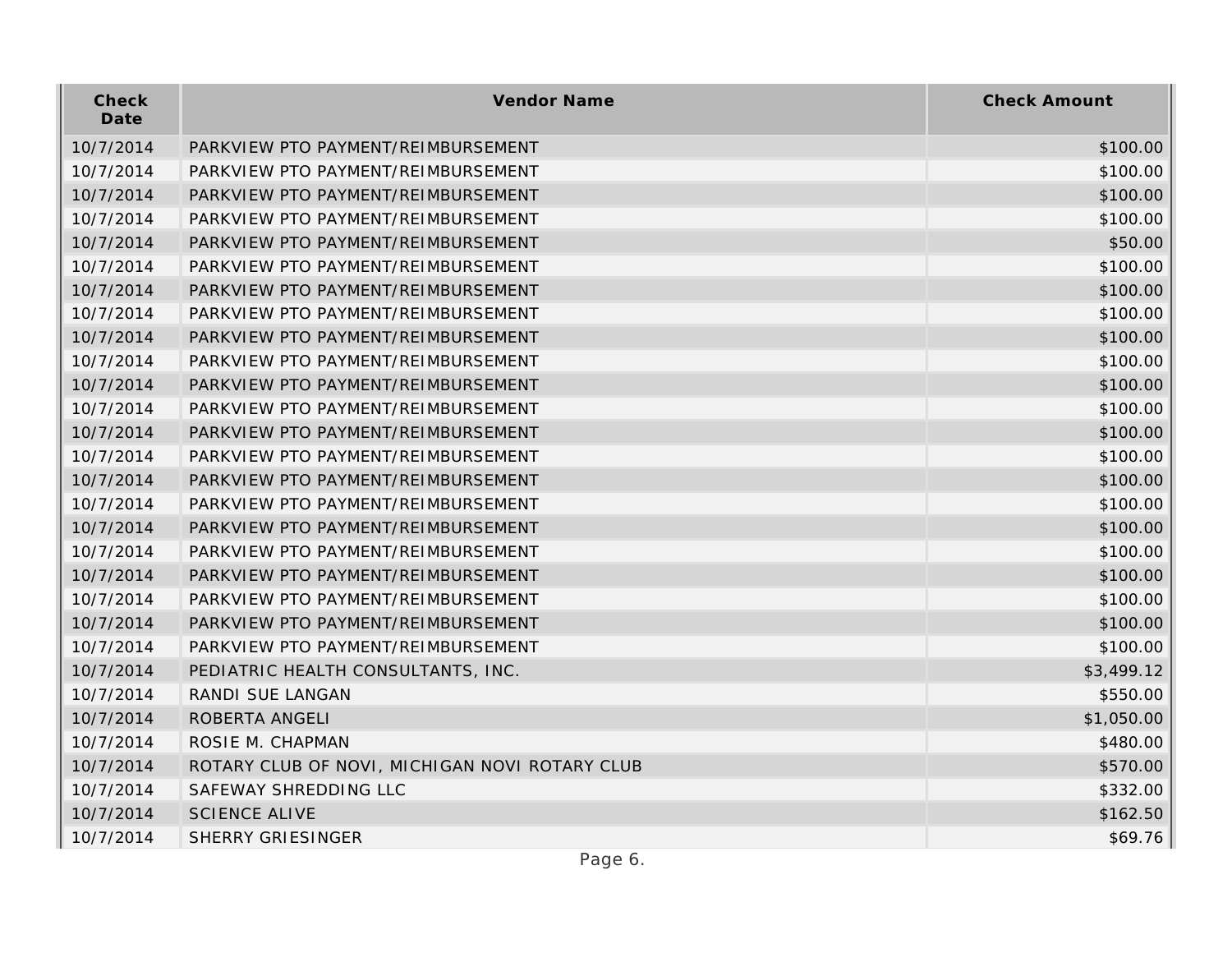| Check<br>Date | Vendor Name                                    | <b>Check Amount</b> |
|---------------|------------------------------------------------|---------------------|
| 10/7/2014     | PARKVIEW PTO PAYMENT/REIMBURSEMENT             | \$100.00            |
| 10/7/2014     | PARKVIEW PTO PAYMENT/REIMBURSEMENT             | \$100.00            |
| 10/7/2014     | PARKVIEW PTO PAYMENT/REIMBURSEMENT             | \$100.00            |
| 10/7/2014     | PARKVIEW PTO PAYMENT/REIMBURSEMENT             | \$100.00            |
| 10/7/2014     | PARKVIEW PTO PAYMENT/REIMBURSEMENT             | \$50.00             |
| 10/7/2014     | PARKVIEW PTO PAYMENT/REIMBURSEMENT             | \$100.00            |
| 10/7/2014     | PARKVIEW PTO PAYMENT/REIMBURSEMENT             | \$100.00            |
| 10/7/2014     | PARKVIEW PTO PAYMENT/REIMBURSEMENT             | \$100.00            |
| 10/7/2014     | PARKVIEW PTO PAYMENT/REIMBURSEMENT             | \$100.00            |
| 10/7/2014     | PARKVIEW PTO PAYMENT/REIMBURSEMENT             | \$100.00            |
| 10/7/2014     | PARKVIEW PTO PAYMENT/REIMBURSEMENT             | \$100.00            |
| 10/7/2014     | PARKVIEW PTO PAYMENT/REIMBURSEMENT             | \$100.00            |
| 10/7/2014     | PARKVIEW PTO PAYMENT/REIMBURSEMENT             | \$100.00            |
| 10/7/2014     | PARKVIEW PTO PAYMENT/REIMBURSEMENT             | \$100.00            |
| 10/7/2014     | PARKVIEW PTO PAYMENT/REIMBURSEMENT             | \$100.00            |
| 10/7/2014     | PARKVIEW PTO PAYMENT/REIMBURSEMENT             | \$100.00            |
| 10/7/2014     | PARKVIEW PTO PAYMENT/REIMBURSEMENT             | \$100.00            |
| 10/7/2014     | PARKVIEW PTO PAYMENT/REIMBURSEMENT             | \$100.00            |
| 10/7/2014     | PARKVIEW PTO PAYMENT/REIMBURSEMENT             | \$100.00            |
| 10/7/2014     | PARKVIEW PTO PAYMENT/REIMBURSEMENT             | \$100.00            |
| 10/7/2014     | PARKVIEW PTO PAYMENT/REIMBURSEMENT             | \$100.00            |
| 10/7/2014     | PARKVIEW PTO PAYMENT/REIMBURSEMENT             | \$100.00            |
| 10/7/2014     | PEDIATRIC HEALTH CONSULTANTS, INC.             | \$3,499.12          |
| 10/7/2014     | RANDI SUE LANGAN                               | \$550.00            |
| 10/7/2014     | ROBERTA ANGELI                                 | \$1,050.00          |
| 10/7/2014     | ROSIE M. CHAPMAN                               | \$480.00            |
| 10/7/2014     | ROTARY CLUB OF NOVI, MICHIGAN NOVI ROTARY CLUB | \$570.00            |
| 10/7/2014     | SAFEWAY SHREDDING LLC                          | \$332.00            |
| 10/7/2014     | <b>SCIENCE ALIVE</b>                           | \$162.50            |
| 10/7/2014     | <b>SHERRY GRIESINGER</b>                       | \$69.76             |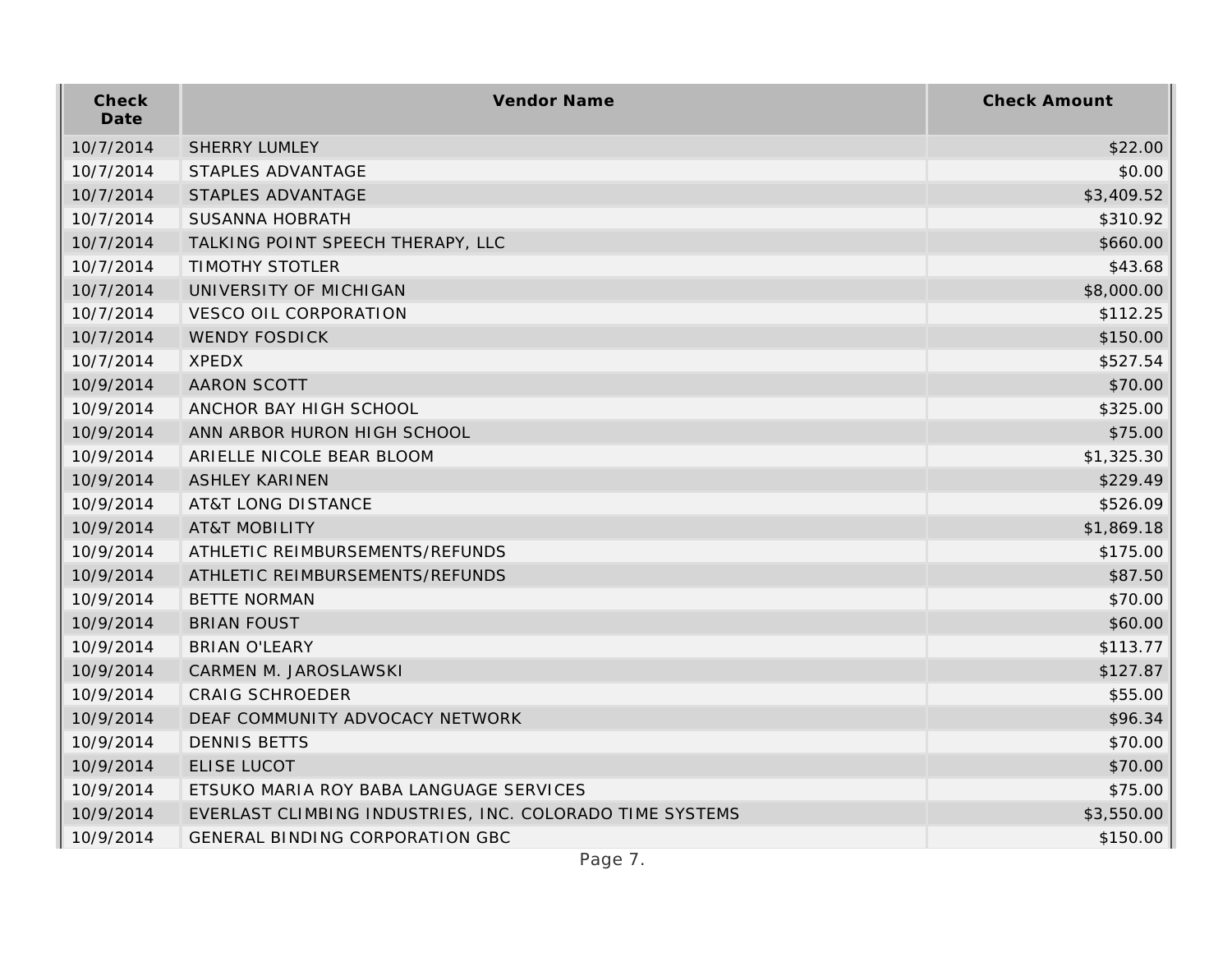| Check<br>Date | Vendor Name                                              | <b>Check Amount</b> |
|---------------|----------------------------------------------------------|---------------------|
| 10/7/2014     | <b>SHERRY LUMLEY</b>                                     | \$22.00             |
| 10/7/2014     | STAPLES ADVANTAGE                                        | \$0.00              |
| 10/7/2014     | STAPLES ADVANTAGE                                        | \$3,409.52          |
| 10/7/2014     | <b>SUSANNA HOBRATH</b>                                   | \$310.92            |
| 10/7/2014     | TALKING POINT SPEECH THERAPY, LLC                        | \$660.00            |
| 10/7/2014     | <b>TIMOTHY STOTLER</b>                                   | \$43.68             |
| 10/7/2014     | UNIVERSITY OF MICHIGAN                                   | \$8,000.00          |
| 10/7/2014     | <b>VESCO OIL CORPORATION</b>                             | \$112.25            |
| 10/7/2014     | <b>WENDY FOSDICK</b>                                     | \$150.00            |
| 10/7/2014     | <b>XPEDX</b>                                             | \$527.54            |
| 10/9/2014     | <b>AARON SCOTT</b>                                       | \$70.00             |
| 10/9/2014     | ANCHOR BAY HIGH SCHOOL                                   | \$325.00            |
| 10/9/2014     | ANN ARBOR HURON HIGH SCHOOL                              | \$75.00             |
| 10/9/2014     | ARIELLE NICOLE BEAR BLOOM                                | \$1,325.30          |
| 10/9/2014     | <b>ASHLEY KARINEN</b>                                    | \$229.49            |
| 10/9/2014     | <b>AT&amp;T LONG DISTANCE</b>                            | \$526.09            |
| 10/9/2014     | <b>AT&amp;T MOBILITY</b>                                 | \$1,869.18          |
| 10/9/2014     | ATHLETIC REIMBURSEMENTS/REFUNDS                          | \$175.00            |
| 10/9/2014     | ATHLETIC REIMBURSEMENTS/REFUNDS                          | \$87.50             |
| 10/9/2014     | <b>BETTE NORMAN</b>                                      | \$70.00             |
| 10/9/2014     | <b>BRIAN FOUST</b>                                       | \$60.00             |
| 10/9/2014     | <b>BRIAN O'LEARY</b>                                     | \$113.77            |
| 10/9/2014     | CARMEN M. JAROSLAWSKI                                    | \$127.87            |
| 10/9/2014     | <b>CRAIG SCHROEDER</b>                                   | \$55.00             |
| 10/9/2014     | DEAF COMMUNITY ADVOCACY NETWORK                          | \$96.34             |
| 10/9/2014     | <b>DENNIS BETTS</b>                                      | \$70.00             |
| 10/9/2014     | ELISE LUCOT                                              | \$70.00             |
| 10/9/2014     | ETSUKO MARIA ROY BABA LANGUAGE SERVICES                  | \$75.00             |
| 10/9/2014     | EVERLAST CLIMBING INDUSTRIES, INC. COLORADO TIME SYSTEMS | \$3,550.00          |
| 10/9/2014     | <b>GENERAL BINDING CORPORATION GBC</b>                   | \$150.00            |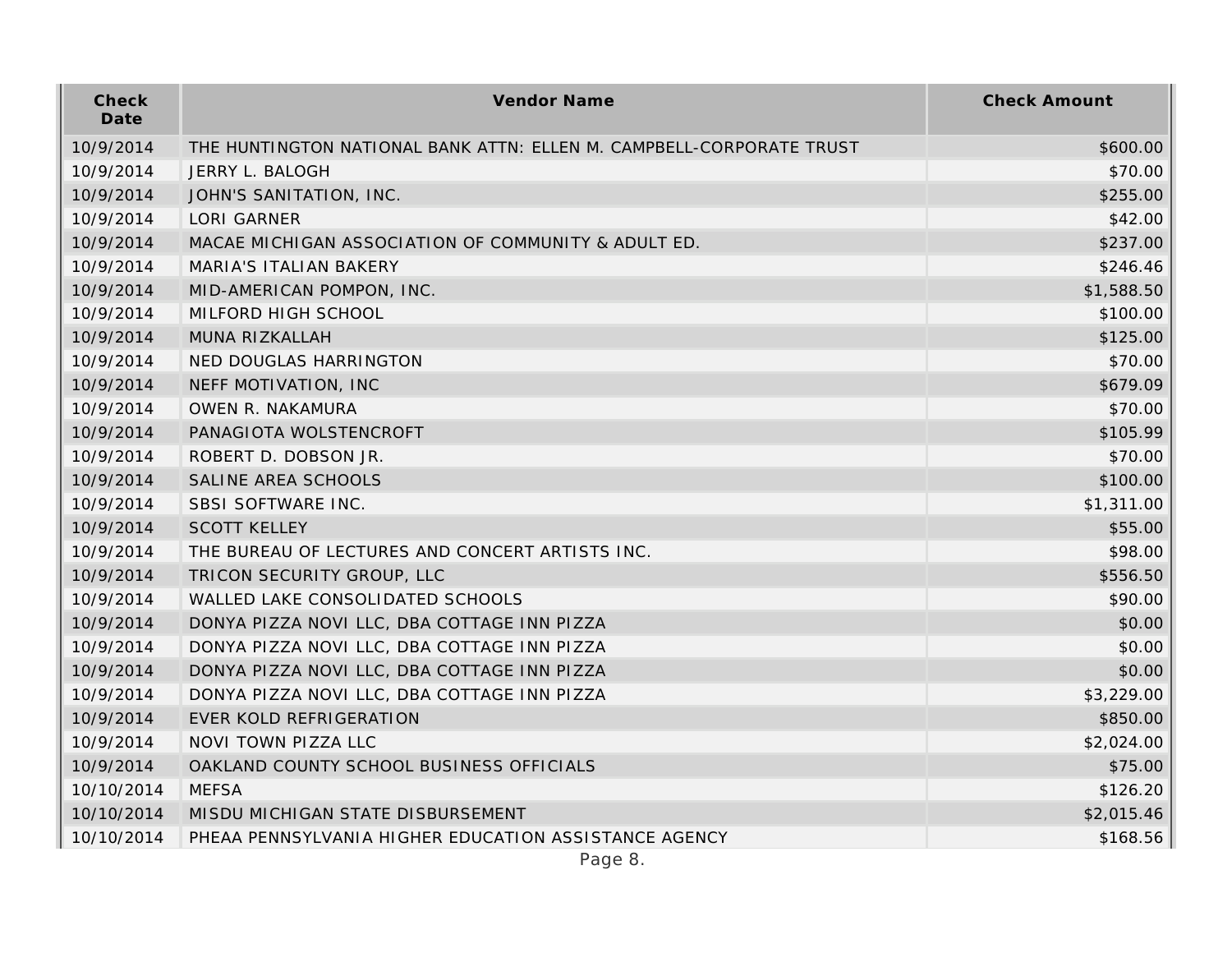| Check<br>Date | Vendor Name                                                          | <b>Check Amount</b> |
|---------------|----------------------------------------------------------------------|---------------------|
| 10/9/2014     | THE HUNTINGTON NATIONAL BANK ATTN: ELLEN M. CAMPBELL-CORPORATE TRUST | \$600.00            |
| 10/9/2014     | JERRY L. BALOGH                                                      | \$70.00             |
| 10/9/2014     | JOHN'S SANITATION, INC.                                              | \$255.00            |
| 10/9/2014     | <b>LORI GARNER</b>                                                   | \$42.00             |
| 10/9/2014     | MACAE MICHIGAN ASSOCIATION OF COMMUNITY & ADULT ED.                  | \$237.00            |
| 10/9/2014     | MARIA'S ITALIAN BAKERY                                               | \$246.46            |
| 10/9/2014     | MID-AMERICAN POMPON, INC.                                            | \$1,588.50          |
| 10/9/2014     | MILFORD HIGH SCHOOL                                                  | \$100.00            |
| 10/9/2014     | MUNA RIZKALLAH                                                       | \$125.00            |
| 10/9/2014     | NED DOUGLAS HARRINGTON                                               | \$70.00             |
| 10/9/2014     | NEFF MOTIVATION, INC                                                 | \$679.09            |
| 10/9/2014     | OWEN R. NAKAMURA                                                     | \$70.00             |
| 10/9/2014     | PANAGIOTA WOLSTENCROFT                                               | \$105.99            |
| 10/9/2014     | ROBERT D. DOBSON JR.                                                 | \$70.00             |
| 10/9/2014     | SALINE AREA SCHOOLS                                                  | \$100.00            |
| 10/9/2014     | SBSI SOFTWARE INC.                                                   | \$1,311.00          |
| 10/9/2014     | <b>SCOTT KELLEY</b>                                                  | \$55.00             |
| 10/9/2014     | THE BUREAU OF LECTURES AND CONCERT ARTISTS INC.                      | \$98.00             |
| 10/9/2014     | TRICON SECURITY GROUP, LLC                                           | \$556.50            |
| 10/9/2014     | WALLED LAKE CONSOLIDATED SCHOOLS                                     | \$90.00             |
| 10/9/2014     | DONYA PIZZA NOVI LLC, DBA COTTAGE INN PIZZA                          | \$0.00              |
| 10/9/2014     | DONYA PIZZA NOVI LLC, DBA COTTAGE INN PIZZA                          | \$0.00              |
| 10/9/2014     | DONYA PIZZA NOVI LLC, DBA COTTAGE INN PIZZA                          | \$0.00              |
| 10/9/2014     | DONYA PIZZA NOVI LLC, DBA COTTAGE INN PIZZA                          | \$3,229.00          |
| 10/9/2014     | EVER KOLD REFRIGERATION                                              | \$850.00            |
| 10/9/2014     | NOVI TOWN PIZZA LLC                                                  | \$2,024.00          |
| 10/9/2014     | OAKLAND COUNTY SCHOOL BUSINESS OFFICIALS                             | \$75.00             |
| 10/10/2014    | <b>MEFSA</b>                                                         | \$126.20            |
| 10/10/2014    | MISDU MICHIGAN STATE DISBURSEMENT                                    | \$2,015.46          |
| 10/10/2014    | PHEAA PENNSYLVANIA HIGHER EDUCATION ASSISTANCE AGENCY                | \$168.56            |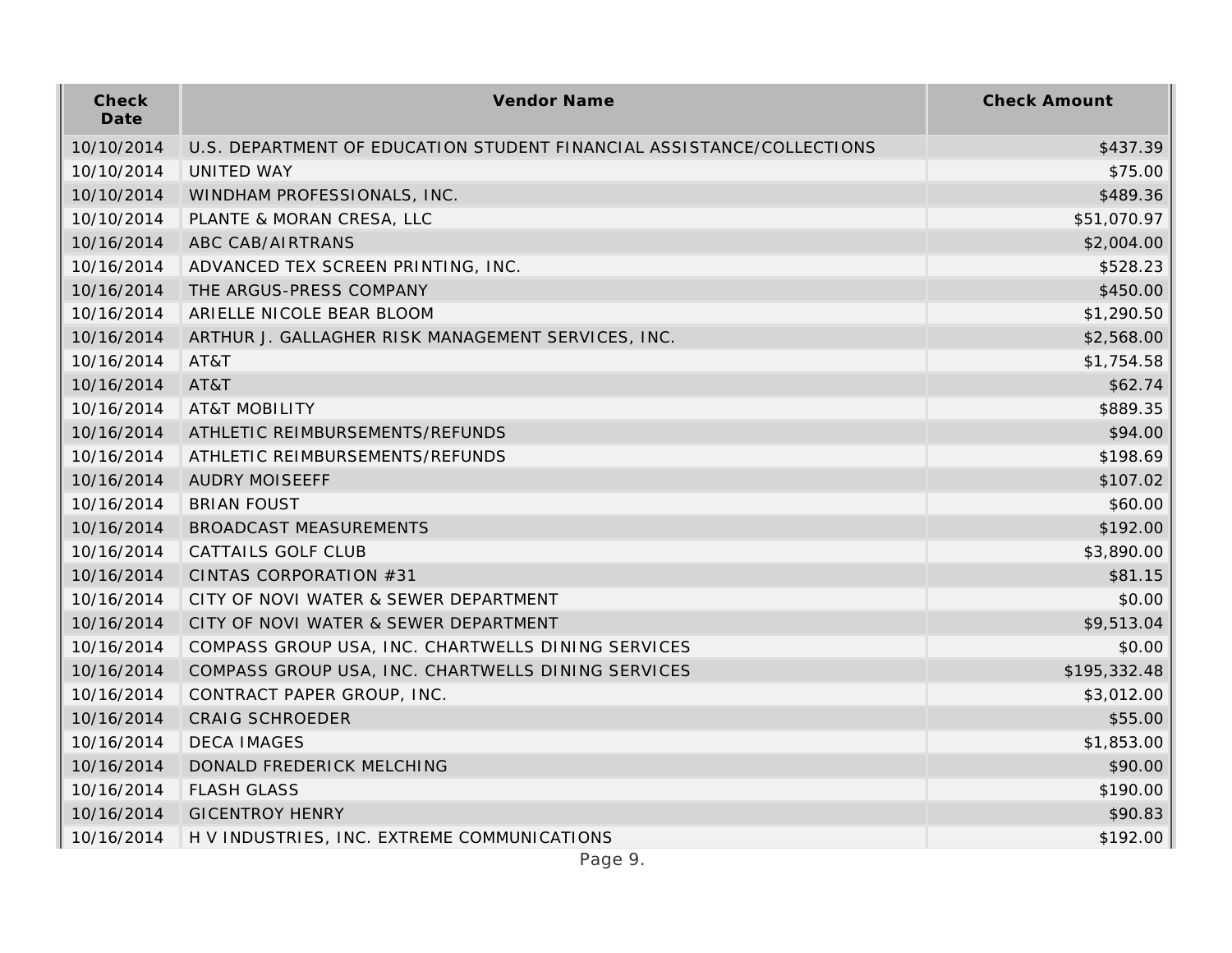| Check<br>Date | Vendor Name                                                           | <b>Check Amount</b> |
|---------------|-----------------------------------------------------------------------|---------------------|
| 10/10/2014    | U.S. DEPARTMENT OF EDUCATION STUDENT FINANCIAL ASSISTANCE/COLLECTIONS | \$437.39            |
| 10/10/2014    | <b>UNITED WAY</b>                                                     | \$75.00             |
| 10/10/2014    | WINDHAM PROFESSIONALS, INC.                                           | \$489.36            |
| 10/10/2014    | PLANTE & MORAN CRESA, LLC                                             | \$51,070.97         |
| 10/16/2014    | ABC CAB/AIRTRANS                                                      | \$2,004.00          |
| 10/16/2014    | ADVANCED TEX SCREEN PRINTING, INC.                                    | \$528.23            |
| 10/16/2014    | THE ARGUS-PRESS COMPANY                                               | \$450.00            |
| 10/16/2014    | ARIELLE NICOLE BEAR BLOOM                                             | \$1,290.50          |
| 10/16/2014    | ARTHUR J. GALLAGHER RISK MANAGEMENT SERVICES, INC.                    | \$2,568.00          |
| 10/16/2014    | AT&T                                                                  | \$1,754.58          |
| 10/16/2014    | AT&T                                                                  | \$62.74             |
| 10/16/2014    | <b>AT&amp;T MOBILITY</b>                                              | \$889.35            |
| 10/16/2014    | ATHLETIC REIMBURSEMENTS/REFUNDS                                       | \$94.00             |
| 10/16/2014    | ATHLETIC REIMBURSEMENTS/REFUNDS                                       | \$198.69            |
| 10/16/2014    | <b>AUDRY MOISEEFF</b>                                                 | \$107.02            |
| 10/16/2014    | <b>BRIAN FOUST</b>                                                    | \$60.00             |
| 10/16/2014    | <b>BROADCAST MEASUREMENTS</b>                                         | \$192.00            |
| 10/16/2014    | <b>CATTAILS GOLF CLUB</b>                                             | \$3,890.00          |
| 10/16/2014    | CINTAS CORPORATION #31                                                | \$81.15             |
| 10/16/2014    | CITY OF NOVI WATER & SEWER DEPARTMENT                                 | \$0.00              |
| 10/16/2014    | CITY OF NOVI WATER & SEWER DEPARTMENT                                 | \$9,513.04          |
| 10/16/2014    | COMPASS GROUP USA, INC. CHARTWELLS DINING SERVICES                    | \$0.00              |
| 10/16/2014    | COMPASS GROUP USA, INC. CHARTWELLS DINING SERVICES                    | \$195,332.48        |
| 10/16/2014    | CONTRACT PAPER GROUP, INC.                                            | \$3,012.00          |
| 10/16/2014    | <b>CRAIG SCHROEDER</b>                                                | \$55.00             |
| 10/16/2014    | <b>DECA IMAGES</b>                                                    | \$1,853.00          |
| 10/16/2014    | DONALD FREDERICK MELCHING                                             | \$90.00             |
| 10/16/2014    | <b>FLASH GLASS</b>                                                    | \$190.00            |
| 10/16/2014    | <b>GICENTROY HENRY</b>                                                | \$90.83             |
| 10/16/2014    | H V INDUSTRIES, INC. EXTREME COMMUNICATIONS                           | \$192.00            |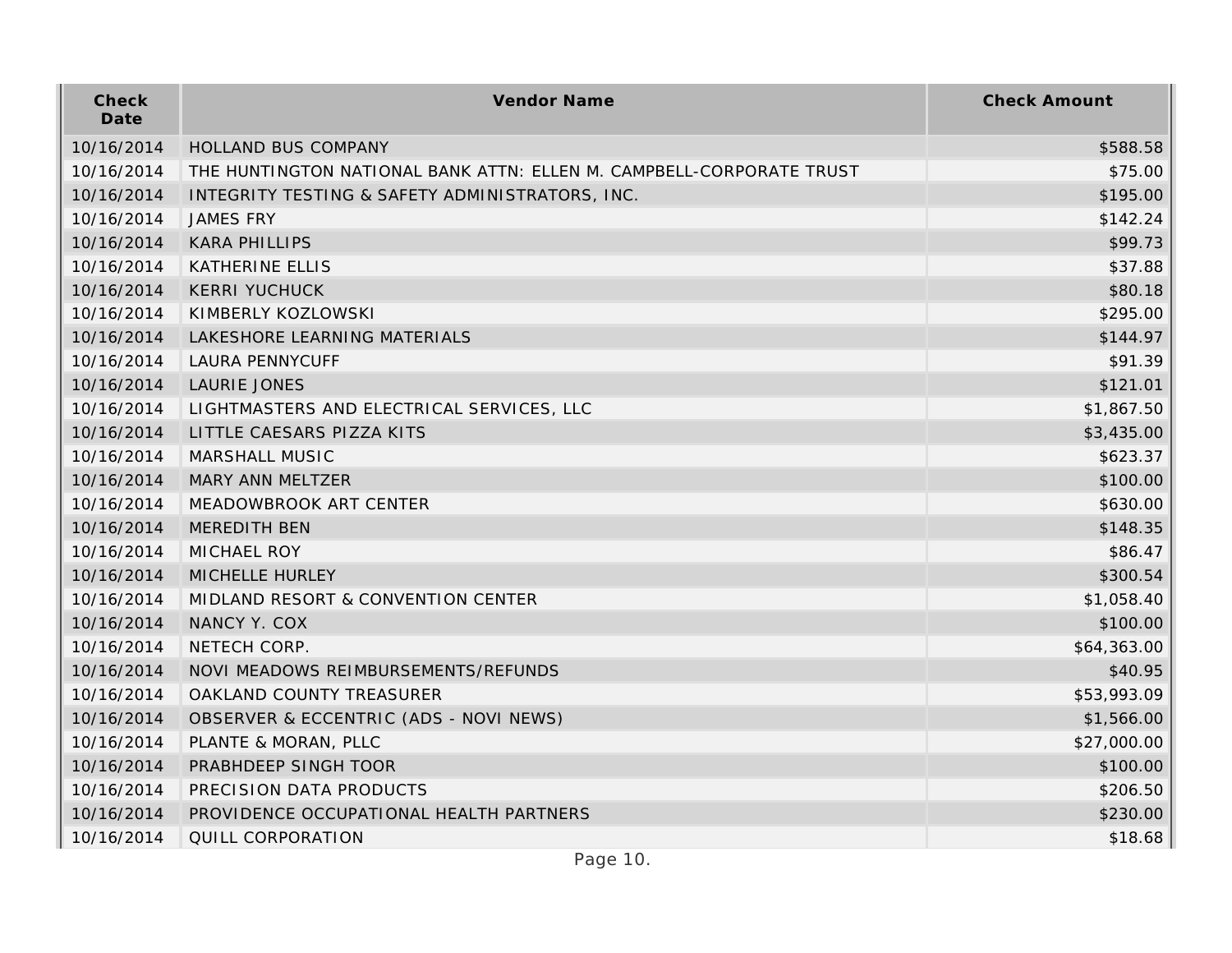| Check<br>Date | Vendor Name                                                          | <b>Check Amount</b> |
|---------------|----------------------------------------------------------------------|---------------------|
| 10/16/2014    | HOLLAND BUS COMPANY                                                  | \$588.58            |
| 10/16/2014    | THE HUNTINGTON NATIONAL BANK ATTN: ELLEN M. CAMPBELL-CORPORATE TRUST | \$75.00             |
| 10/16/2014    | INTEGRITY TESTING & SAFETY ADMINISTRATORS, INC.                      | \$195.00            |
| 10/16/2014    | <b>JAMES FRY</b>                                                     | \$142.24            |
| 10/16/2014    | <b>KARA PHILLIPS</b>                                                 | \$99.73             |
| 10/16/2014    | <b>KATHERINE ELLIS</b>                                               | \$37.88             |
| 10/16/2014    | <b>KERRI YUCHUCK</b>                                                 | \$80.18             |
| 10/16/2014    | KIMBERLY KOZLOWSKI                                                   | \$295.00            |
| 10/16/2014    | LAKESHORE LEARNING MATERIALS                                         | \$144.97            |
| 10/16/2014    | <b>LAURA PENNYCUFF</b>                                               | \$91.39             |
| 10/16/2014    | LAURIE JONES                                                         | \$121.01            |
| 10/16/2014    | LIGHTMASTERS AND ELECTRICAL SERVICES, LLC                            | \$1,867.50          |
| 10/16/2014    | LITTLE CAESARS PIZZA KITS                                            | \$3,435.00          |
| 10/16/2014    | MARSHALL MUSIC                                                       | \$623.37            |
| 10/16/2014    | MARY ANN MELTZER                                                     | \$100.00            |
| 10/16/2014    | MEADOWBROOK ART CENTER                                               | \$630.00            |
| 10/16/2014    | MEREDITH BEN                                                         | \$148.35            |
| 10/16/2014    | MICHAEL ROY                                                          | \$86.47             |
| 10/16/2014    | MICHELLE HURLEY                                                      | \$300.54            |
| 10/16/2014    | MIDLAND RESORT & CONVENTION CENTER                                   | \$1,058.40          |
| 10/16/2014    | NANCY Y. COX                                                         | \$100.00            |
| 10/16/2014    | NETECH CORP.                                                         | \$64,363.00         |
| 10/16/2014    | NOVI MEADOWS REIMBURSEMENTS/REFUNDS                                  | \$40.95             |
| 10/16/2014    | OAKLAND COUNTY TREASURER                                             | \$53,993.09         |
| 10/16/2014    | OBSERVER & ECCENTRIC (ADS - NOVI NEWS)                               | \$1,566.00          |
| 10/16/2014    | PLANTE & MORAN, PLLC                                                 | \$27,000.00         |
| 10/16/2014    | PRABHDEEP SINGH TOOR                                                 | \$100.00            |
| 10/16/2014    | PRECISION DATA PRODUCTS                                              | \$206.50            |
| 10/16/2014    | PROVIDENCE OCCUPATIONAL HEALTH PARTNERS                              | \$230.00            |
| 10/16/2014    | QUILL CORPORATION                                                    | \$18.68             |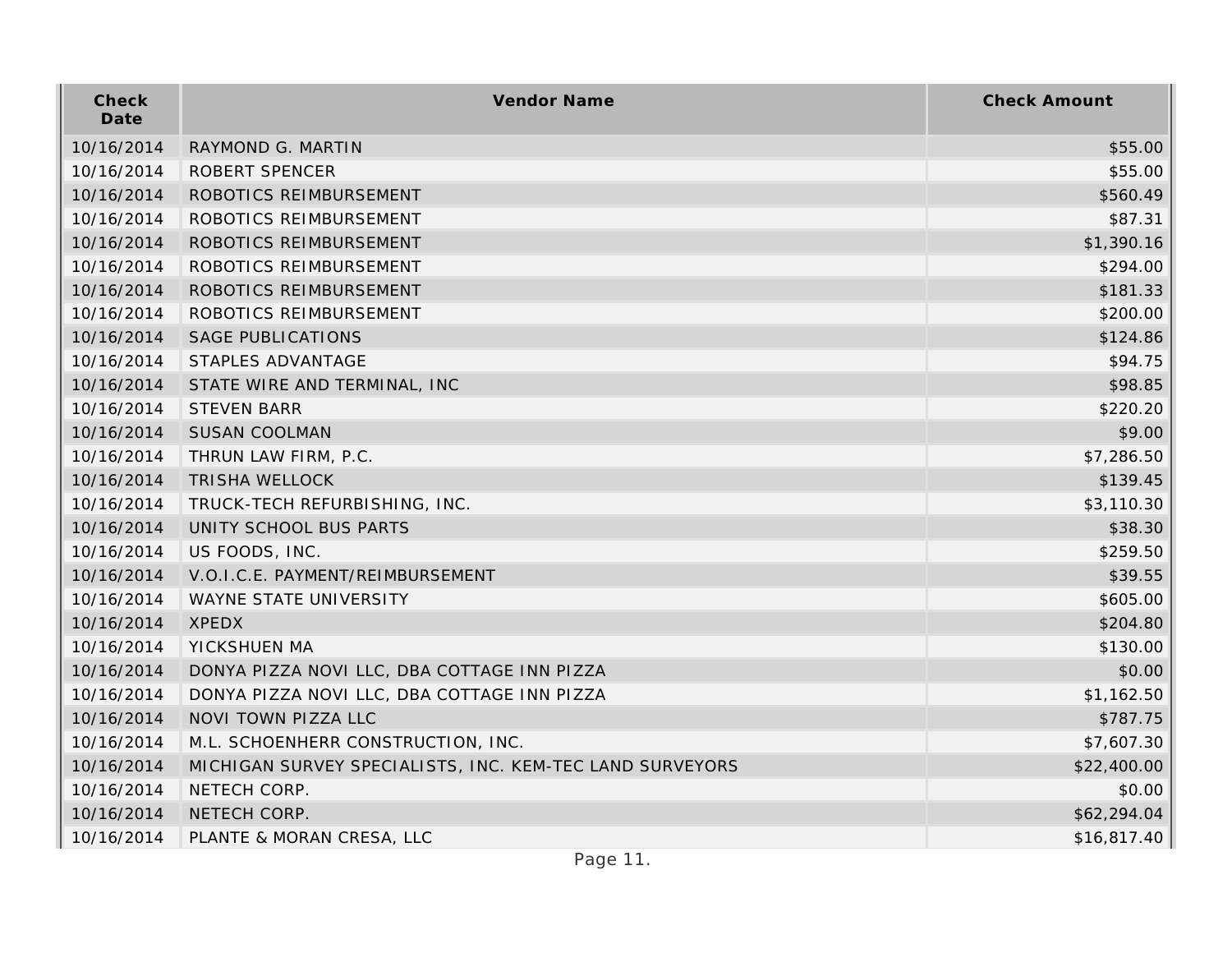| Check<br>Date | Vendor Name                                              | <b>Check Amount</b> |
|---------------|----------------------------------------------------------|---------------------|
| 10/16/2014    | RAYMOND G. MARTIN                                        | \$55.00             |
| 10/16/2014    | ROBERT SPENCER                                           | \$55.00             |
| 10/16/2014    | ROBOTICS REIMBURSEMENT                                   | \$560.49            |
| 10/16/2014    | ROBOTICS REIMBURSEMENT                                   | \$87.31             |
| 10/16/2014    | ROBOTICS REIMBURSEMENT                                   | \$1,390.16          |
| 10/16/2014    | ROBOTICS REIMBURSEMENT                                   | \$294.00            |
| 10/16/2014    | ROBOTICS REIMBURSEMENT                                   | \$181.33            |
| 10/16/2014    | ROBOTICS REIMBURSEMENT                                   | \$200.00            |
| 10/16/2014    | <b>SAGE PUBLICATIONS</b>                                 | \$124.86            |
| 10/16/2014    | STAPLES ADVANTAGE                                        | \$94.75             |
| 10/16/2014    | STATE WIRE AND TERMINAL, INC                             | \$98.85             |
| 10/16/2014    | <b>STEVEN BARR</b>                                       | \$220.20            |
| 10/16/2014    | <b>SUSAN COOLMAN</b>                                     | \$9.00              |
| 10/16/2014    | THRUN LAW FIRM, P.C.                                     | \$7,286.50          |
| 10/16/2014    | TRISHA WELLOCK                                           | \$139.45            |
| 10/16/2014    | TRUCK-TECH REFURBISHING, INC.                            | \$3,110.30          |
| 10/16/2014    | UNITY SCHOOL BUS PARTS                                   | \$38.30             |
| 10/16/2014    | US FOODS, INC.                                           | \$259.50            |
| 10/16/2014    | V.O.I.C.E. PAYMENT/REIMBURSEMENT                         | \$39.55             |
| 10/16/2014    | WAYNE STATE UNIVERSITY                                   | \$605.00            |
| 10/16/2014    | <b>XPEDX</b>                                             | \$204.80            |
| 10/16/2014    | YICKSHUEN MA                                             | \$130.00            |
| 10/16/2014    | DONYA PIZZA NOVI LLC, DBA COTTAGE INN PIZZA              | \$0.00              |
| 10/16/2014    | DONYA PIZZA NOVI LLC, DBA COTTAGE INN PIZZA              | \$1,162.50          |
| 10/16/2014    | NOVI TOWN PIZZA LLC                                      | \$787.75            |
| 10/16/2014    | M.L. SCHOENHERR CONSTRUCTION, INC.                       | \$7,607.30          |
| 10/16/2014    | MICHIGAN SURVEY SPECIALISTS, INC. KEM-TEC LAND SURVEYORS | \$22,400.00         |
| 10/16/2014    | NETECH CORP.                                             | \$0.00              |
| 10/16/2014    | NETECH CORP.                                             | \$62,294.04         |
| 10/16/2014    | PLANTE & MORAN CRESA, LLC                                | \$16,817.40         |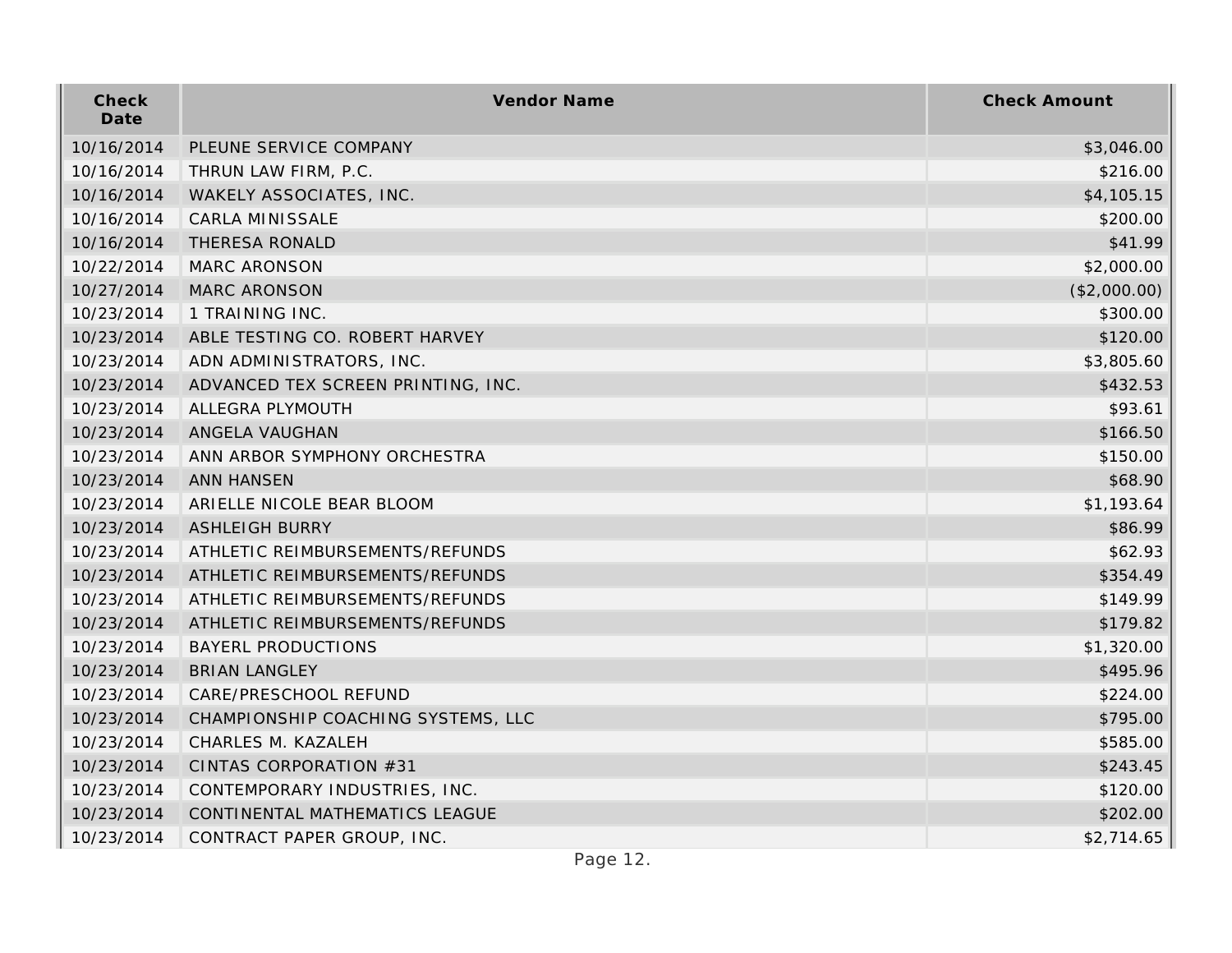| Check<br>Date | Vendor Name                        | <b>Check Amount</b> |
|---------------|------------------------------------|---------------------|
| 10/16/2014    | PLEUNE SERVICE COMPANY             | \$3,046.00          |
| 10/16/2014    | THRUN LAW FIRM, P.C.               | \$216.00            |
| 10/16/2014    | WAKELY ASSOCIATES, INC.            | \$4,105.15          |
| 10/16/2014    | CARLA MINISSALE                    | \$200.00            |
| 10/16/2014    | THERESA RONALD                     | \$41.99             |
| 10/22/2014    | MARC ARONSON                       | \$2,000.00          |
| 10/27/2014    | <b>MARC ARONSON</b>                | (\$2,000.00)        |
| 10/23/2014    | 1 TRAINING INC.                    | \$300.00            |
| 10/23/2014    | ABLE TESTING CO. ROBERT HARVEY     | \$120.00            |
| 10/23/2014    | ADN ADMINISTRATORS, INC.           | \$3,805.60          |
| 10/23/2014    | ADVANCED TEX SCREEN PRINTING, INC. | \$432.53            |
| 10/23/2014    | ALLEGRA PLYMOUTH                   | \$93.61             |
| 10/23/2014    | ANGELA VAUGHAN                     | \$166.50            |
| 10/23/2014    | ANN ARBOR SYMPHONY ORCHESTRA       | \$150.00            |
| 10/23/2014    | <b>ANN HANSEN</b>                  | \$68.90             |
| 10/23/2014    | ARIELLE NICOLE BEAR BLOOM          | \$1,193.64          |
| 10/23/2014    | <b>ASHLEIGH BURRY</b>              | \$86.99             |
| 10/23/2014    | ATHLETIC REIMBURSEMENTS/REFUNDS    | \$62.93             |
| 10/23/2014    | ATHLETIC REIMBURSEMENTS/REFUNDS    | \$354.49            |
| 10/23/2014    | ATHLETIC REIMBURSEMENTS/REFUNDS    | \$149.99            |
| 10/23/2014    | ATHLETIC REIMBURSEMENTS/REFUNDS    | \$179.82            |
| 10/23/2014    | <b>BAYERL PRODUCTIONS</b>          | \$1,320.00          |
| 10/23/2014    | <b>BRIAN LANGLEY</b>               | \$495.96            |
| 10/23/2014    | CARE/PRESCHOOL REFUND              | \$224.00            |
| 10/23/2014    | CHAMPIONSHIP COACHING SYSTEMS, LLC | \$795.00            |
| 10/23/2014    | CHARLES M. KAZALEH                 | \$585.00            |
| 10/23/2014    | CINTAS CORPORATION #31             | \$243.45            |
| 10/23/2014    | CONTEMPORARY INDUSTRIES, INC.      | \$120.00            |
| 10/23/2014    | CONTINENTAL MATHEMATICS LEAGUE     | \$202.00            |
| 10/23/2014    | CONTRACT PAPER GROUP, INC.         | \$2,714.65          |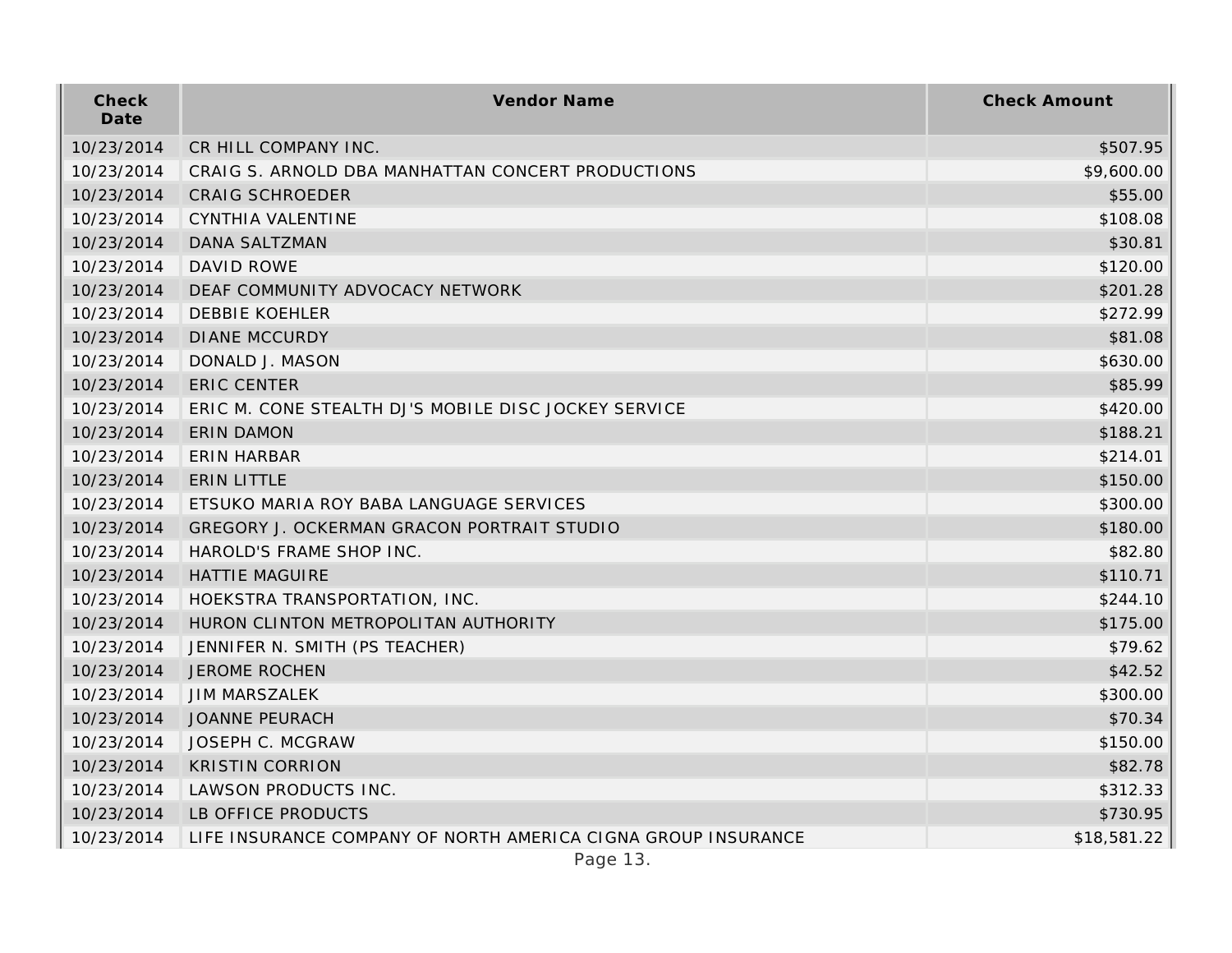| Check<br>Date | Vendor Name                                                   | <b>Check Amount</b> |
|---------------|---------------------------------------------------------------|---------------------|
| 10/23/2014    | CR HILL COMPANY INC.                                          | \$507.95            |
| 10/23/2014    | CRAIG S. ARNOLD DBA MANHATTAN CONCERT PRODUCTIONS             | \$9,600.00          |
| 10/23/2014    | <b>CRAIG SCHROEDER</b>                                        | \$55.00             |
| 10/23/2014    | <b>CYNTHIA VALENTINE</b>                                      | \$108.08            |
| 10/23/2014    | <b>DANA SALTZMAN</b>                                          | \$30.81             |
| 10/23/2014    | DAVID ROWE                                                    | \$120.00            |
| 10/23/2014    | DEAF COMMUNITY ADVOCACY NETWORK                               | \$201.28            |
| 10/23/2014    | <b>DEBBIE KOEHLER</b>                                         | \$272.99            |
| 10/23/2014    | <b>DIANE MCCURDY</b>                                          | \$81.08             |
| 10/23/2014    | DONALD J. MASON                                               | \$630.00            |
| 10/23/2014    | <b>ERIC CENTER</b>                                            | \$85.99             |
| 10/23/2014    | ERIC M. CONE STEALTH DJ'S MOBILE DISC JOCKEY SERVICE          | \$420.00            |
| 10/23/2014    | <b>ERIN DAMON</b>                                             | \$188.21            |
| 10/23/2014    | ERIN HARBAR                                                   | \$214.01            |
| 10/23/2014    | <b>ERIN LITTLE</b>                                            | \$150.00            |
| 10/23/2014    | ETSUKO MARIA ROY BABA LANGUAGE SERVICES                       | \$300.00            |
| 10/23/2014    | GREGORY J. OCKERMAN GRACON PORTRAIT STUDIO                    | \$180.00            |
| 10/23/2014    | HAROLD'S FRAME SHOP INC.                                      | \$82.80             |
| 10/23/2014    | <b>HATTIE MAGUIRE</b>                                         | \$110.71            |
| 10/23/2014    | HOEKSTRA TRANSPORTATION, INC.                                 | \$244.10            |
| 10/23/2014    | HURON CLINTON METROPOLITAN AUTHORITY                          | \$175.00            |
| 10/23/2014    | JENNIFER N. SMITH (PS TEACHER)                                | \$79.62             |
| 10/23/2014    | <b>JEROME ROCHEN</b>                                          | \$42.52             |
| 10/23/2014    | <b>JIM MARSZALEK</b>                                          | \$300.00            |
| 10/23/2014    | <b>JOANNE PEURACH</b>                                         | \$70.34             |
| 10/23/2014    | JOSEPH C. MCGRAW                                              | \$150.00            |
| 10/23/2014    | <b>KRISTIN CORRION</b>                                        | \$82.78             |
| 10/23/2014    | LAWSON PRODUCTS INC.                                          | \$312.33            |
| 10/23/2014    | LB OFFICE PRODUCTS                                            | \$730.95            |
| 10/23/2014    | LIFE INSURANCE COMPANY OF NORTH AMERICA CIGNA GROUP INSURANCE | \$18,581.22         |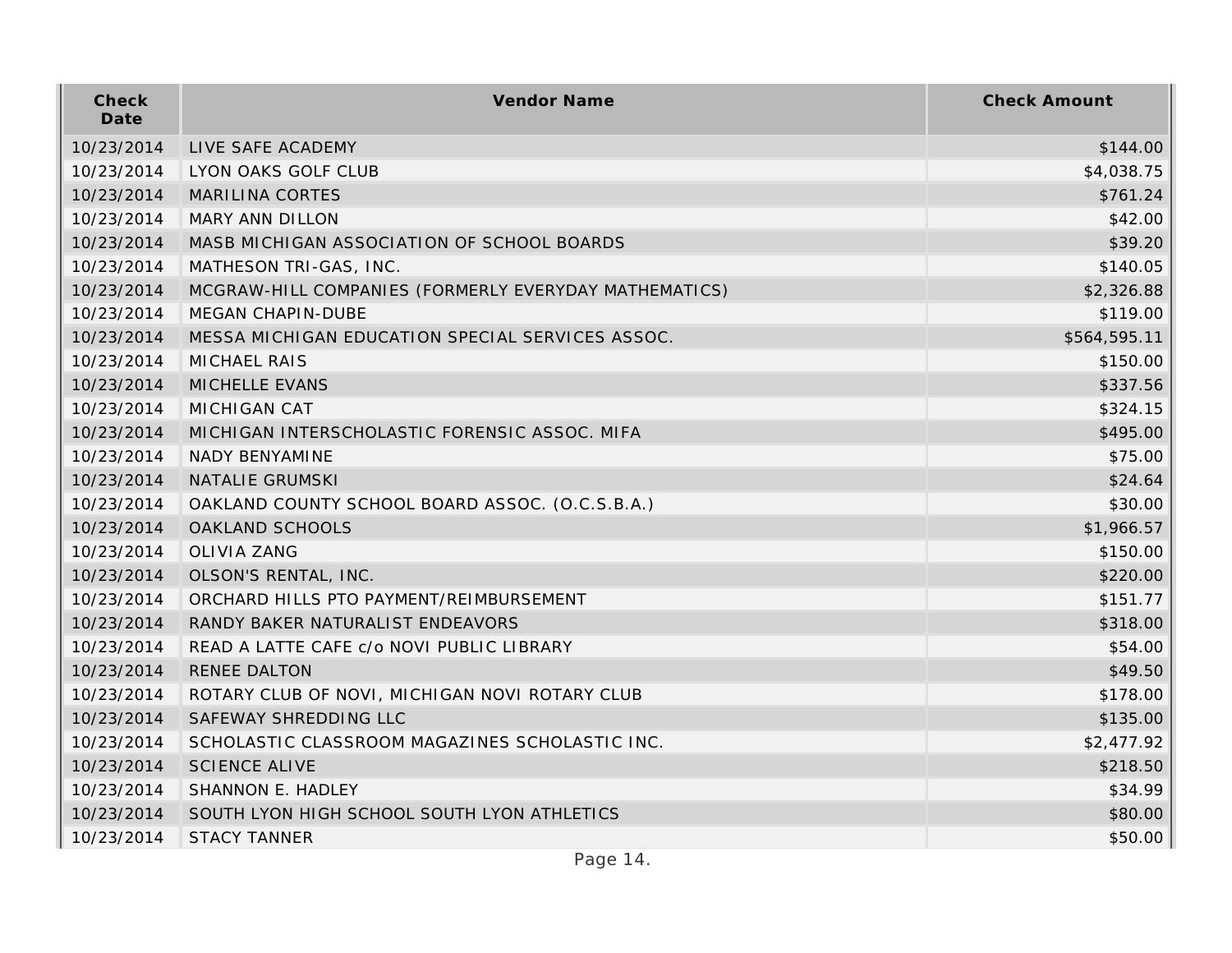| Check<br>Date | Vendor Name                                           | <b>Check Amount</b> |
|---------------|-------------------------------------------------------|---------------------|
| 10/23/2014    | LIVE SAFE ACADEMY                                     | \$144.00            |
| 10/23/2014    | LYON OAKS GOLF CLUB                                   | \$4,038.75          |
| 10/23/2014    | <b>MARILINA CORTES</b>                                | \$761.24            |
| 10/23/2014    | MARY ANN DILLON                                       | \$42.00             |
| 10/23/2014    | MASB MICHIGAN ASSOCIATION OF SCHOOL BOARDS            | \$39.20             |
| 10/23/2014    | MATHESON TRI-GAS, INC.                                | \$140.05            |
| 10/23/2014    | MCGRAW-HILL COMPANIES (FORMERLY EVERYDAY MATHEMATICS) | \$2,326.88          |
| 10/23/2014    | MEGAN CHAPIN-DUBE                                     | \$119.00            |
| 10/23/2014    | MESSA MICHIGAN EDUCATION SPECIAL SERVICES ASSOC.      | \$564,595.11        |
| 10/23/2014    | <b>MICHAEL RAIS</b>                                   | \$150.00            |
| 10/23/2014    | MICHELLE EVANS                                        | \$337.56            |
| 10/23/2014    | MICHIGAN CAT                                          | \$324.15            |
| 10/23/2014    | MICHIGAN INTERSCHOLASTIC FORENSIC ASSOC. MIFA         | \$495.00            |
| 10/23/2014    | <b>NADY BENYAMINE</b>                                 | \$75.00             |
| 10/23/2014    | NATALIE GRUMSKI                                       | \$24.64             |
| 10/23/2014    | OAKLAND COUNTY SCHOOL BOARD ASSOC. (O.C.S.B.A.)       | \$30.00             |
| 10/23/2014    | OAKLAND SCHOOLS                                       | \$1,966.57          |
| 10/23/2014    | <b>OLIVIA ZANG</b>                                    | \$150.00            |
| 10/23/2014    | OLSON'S RENTAL, INC.                                  | \$220.00            |
| 10/23/2014    | ORCHARD HILLS PTO PAYMENT/REIMBURSEMENT               | \$151.77            |
| 10/23/2014    | RANDY BAKER NATURALIST ENDEAVORS                      | \$318.00            |
| 10/23/2014    | READ A LATTE CAFE c/o NOVI PUBLIC LIBRARY             | \$54.00             |
| 10/23/2014    | RENEE DALTON                                          | \$49.50             |
| 10/23/2014    | ROTARY CLUB OF NOVI, MICHIGAN NOVI ROTARY CLUB        | \$178.00            |
| 10/23/2014    | SAFEWAY SHREDDING LLC                                 | \$135.00            |
| 10/23/2014    | SCHOLASTIC CLASSROOM MAGAZINES SCHOLASTIC INC.        | \$2,477.92          |
| 10/23/2014    | <b>SCIENCE ALIVE</b>                                  | \$218.50            |
| 10/23/2014    | SHANNON E. HADLEY                                     | \$34.99             |
| 10/23/2014    | SOUTH LYON HIGH SCHOOL SOUTH LYON ATHLETICS           | \$80.00             |
| 10/23/2014    | <b>STACY TANNER</b>                                   | \$50.00             |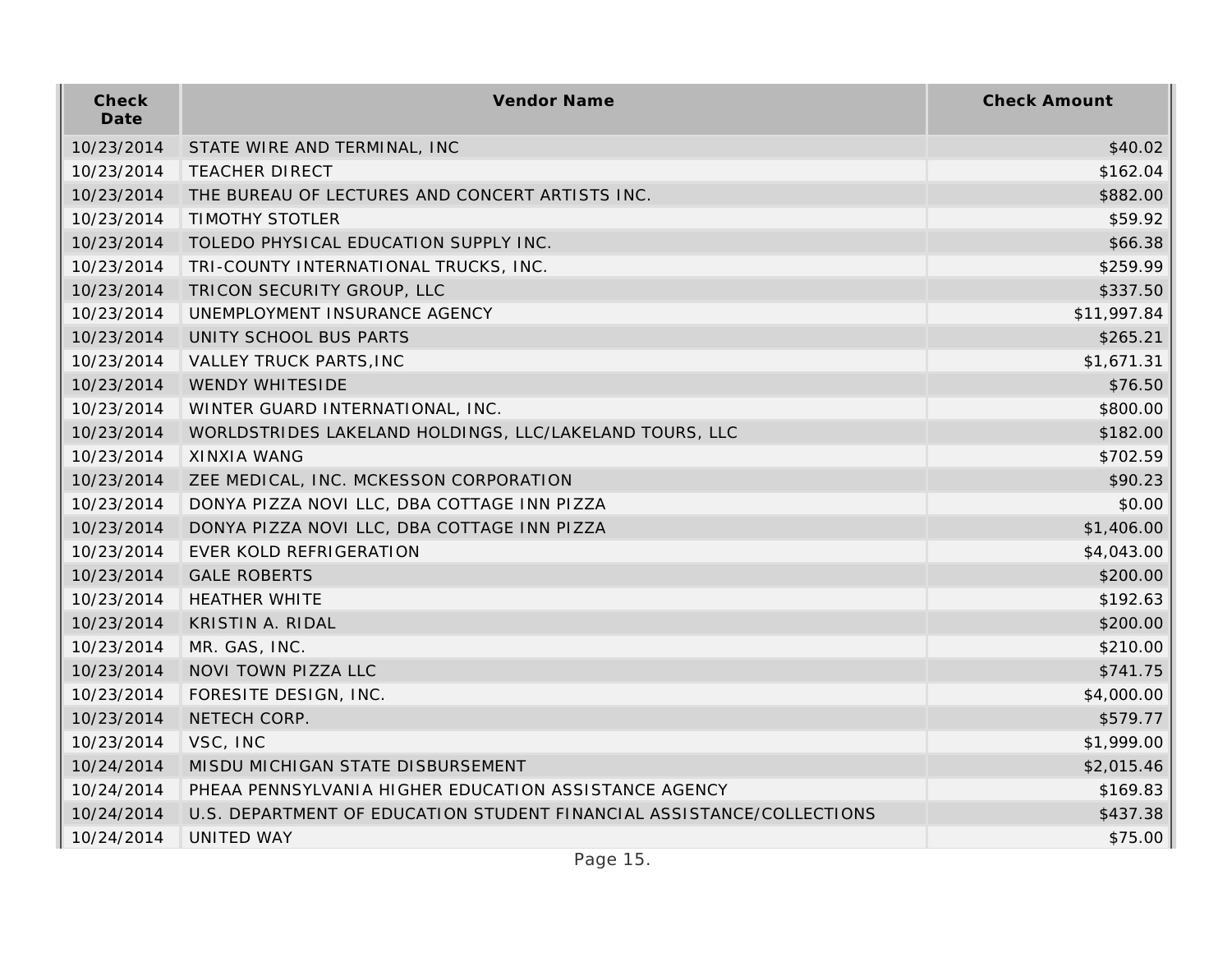| Check<br>Date | Vendor Name                                                           | <b>Check Amount</b> |
|---------------|-----------------------------------------------------------------------|---------------------|
| 10/23/2014    | STATE WIRE AND TERMINAL, INC                                          | \$40.02             |
| 10/23/2014    | <b>TEACHER DIRECT</b>                                                 | \$162.04            |
| 10/23/2014    | THE BUREAU OF LECTURES AND CONCERT ARTISTS INC.                       | \$882.00            |
| 10/23/2014    | <b>TIMOTHY STOTLER</b>                                                | \$59.92             |
| 10/23/2014    | TOLEDO PHYSICAL EDUCATION SUPPLY INC.                                 | \$66.38             |
| 10/23/2014    | TRI-COUNTY INTERNATIONAL TRUCKS, INC.                                 | \$259.99            |
| 10/23/2014    | TRICON SECURITY GROUP, LLC                                            | \$337.50            |
| 10/23/2014    | UNEMPLOYMENT INSURANCE AGENCY                                         | \$11,997.84         |
| 10/23/2014    | UNITY SCHOOL BUS PARTS                                                | \$265.21            |
| 10/23/2014    | VALLEY TRUCK PARTS, INC                                               | \$1,671.31          |
| 10/23/2014    | <b>WENDY WHITESIDE</b>                                                | \$76.50             |
| 10/23/2014    | WINTER GUARD INTERNATIONAL, INC.                                      | \$800.00            |
| 10/23/2014    | WORLDSTRIDES LAKELAND HOLDINGS, LLC/LAKELAND TOURS, LLC               | \$182.00            |
| 10/23/2014    | <b>XINXIA WANG</b>                                                    | \$702.59            |
| 10/23/2014    | ZEE MEDICAL, INC. MCKESSON CORPORATION                                | \$90.23             |
| 10/23/2014    | DONYA PIZZA NOVI LLC, DBA COTTAGE INN PIZZA                           | \$0.00              |
| 10/23/2014    | DONYA PIZZA NOVI LLC, DBA COTTAGE INN PIZZA                           | \$1,406.00          |
| 10/23/2014    | EVER KOLD REFRIGERATION                                               | \$4,043.00          |
| 10/23/2014    | <b>GALE ROBERTS</b>                                                   | \$200.00            |
| 10/23/2014    | <b>HEATHER WHITE</b>                                                  | \$192.63            |
| 10/23/2014    | <b>KRISTIN A. RIDAL</b>                                               | \$200.00            |
| 10/23/2014    | MR. GAS, INC.                                                         | \$210.00            |
| 10/23/2014    | NOVI TOWN PIZZA LLC                                                   | \$741.75            |
| 10/23/2014    | FORESITE DESIGN, INC.                                                 | \$4,000.00          |
| 10/23/2014    | NETECH CORP.                                                          | \$579.77            |
| 10/23/2014    | VSC, INC                                                              | \$1,999.00          |
| 10/24/2014    | MISDU MICHIGAN STATE DISBURSEMENT                                     | \$2,015.46          |
| 10/24/2014    | PHEAA PENNSYLVANIA HIGHER EDUCATION ASSISTANCE AGENCY                 | \$169.83            |
| 10/24/2014    | U.S. DEPARTMENT OF EDUCATION STUDENT FINANCIAL ASSISTANCE/COLLECTIONS | \$437.38            |
| 10/24/2014    | <b>UNITED WAY</b>                                                     | \$75.00             |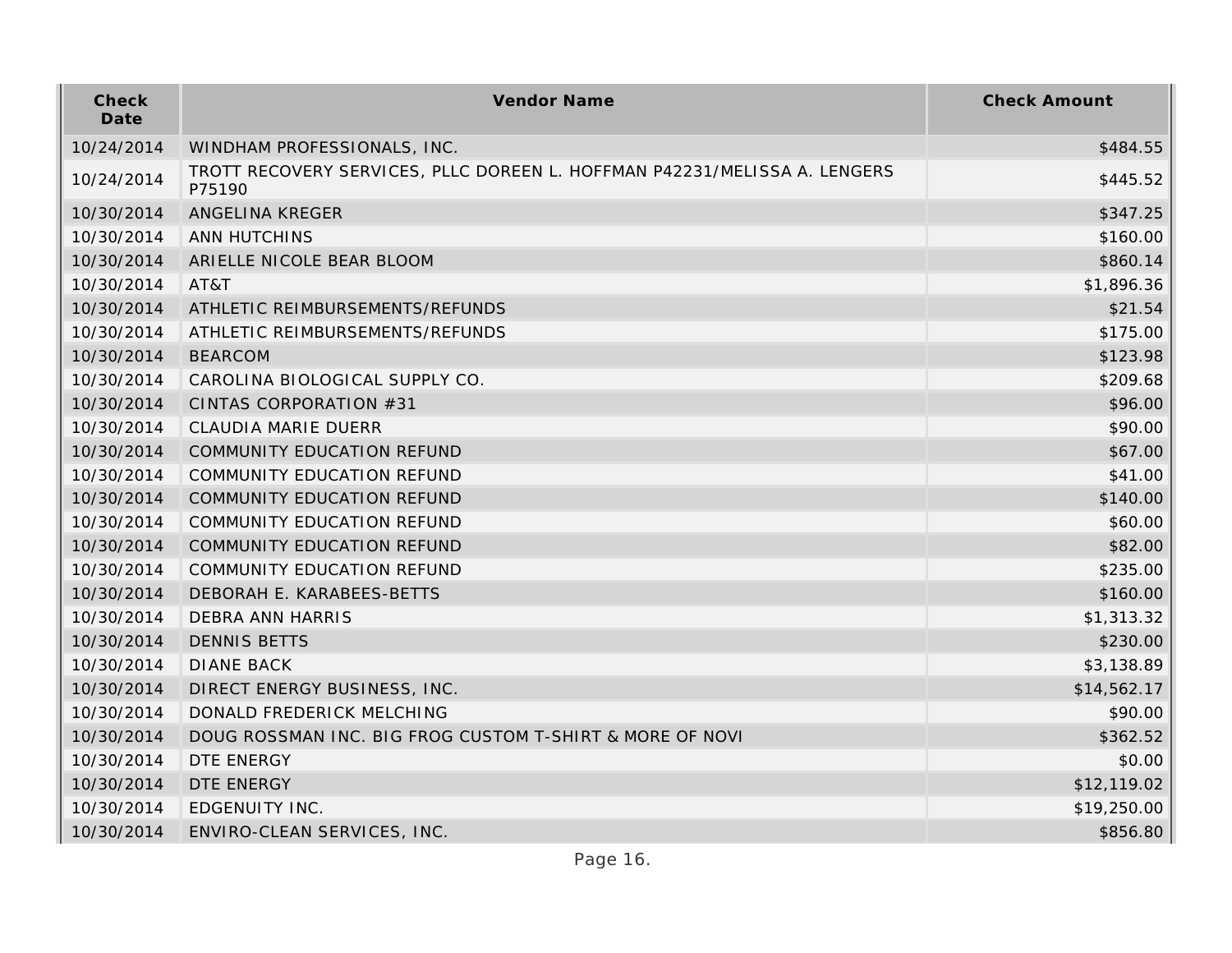| Check<br>Date | Vendor Name                                                                         | <b>Check Amount</b> |
|---------------|-------------------------------------------------------------------------------------|---------------------|
| 10/24/2014    | WINDHAM PROFESSIONALS, INC.                                                         | \$484.55            |
| 10/24/2014    | TROTT RECOVERY SERVICES, PLLC DOREEN L. HOFFMAN P42231/MELISSA A. LENGERS<br>P75190 | \$445.52            |
| 10/30/2014    | ANGELINA KREGER                                                                     | \$347.25            |
| 10/30/2014    | <b>ANN HUTCHINS</b>                                                                 | \$160.00            |
| 10/30/2014    | ARIELLE NICOLE BEAR BLOOM                                                           | \$860.14            |
| 10/30/2014    | AT&T                                                                                | \$1,896.36          |
| 10/30/2014    | ATHLETIC REIMBURSEMENTS/REFUNDS                                                     | \$21.54             |
| 10/30/2014    | ATHLETIC REIMBURSEMENTS/REFUNDS                                                     | \$175.00            |
| 10/30/2014    | <b>BEARCOM</b>                                                                      | \$123.98            |
| 10/30/2014    | CAROLINA BIOLOGICAL SUPPLY CO.                                                      | \$209.68            |
| 10/30/2014    | CINTAS CORPORATION #31                                                              | \$96.00             |
| 10/30/2014    | CLAUDIA MARIE DUERR                                                                 | \$90.00             |
| 10/30/2014    | COMMUNITY EDUCATION REFUND                                                          | \$67.00             |
| 10/30/2014    | COMMUNITY EDUCATION REFUND                                                          | \$41.00             |
| 10/30/2014    | COMMUNITY EDUCATION REFUND                                                          | \$140.00            |
| 10/30/2014    | COMMUNITY EDUCATION REFUND                                                          | \$60.00             |
| 10/30/2014    | COMMUNITY EDUCATION REFUND                                                          | \$82.00             |
| 10/30/2014    | COMMUNITY EDUCATION REFUND                                                          | \$235.00            |
| 10/30/2014    | DEBORAH E. KARABEES-BETTS                                                           | \$160.00            |
| 10/30/2014    | <b>DEBRA ANN HARRIS</b>                                                             | \$1,313.32          |
| 10/30/2014    | <b>DENNIS BETTS</b>                                                                 | \$230.00            |
| 10/30/2014    | <b>DIANE BACK</b>                                                                   | \$3,138.89          |
| 10/30/2014    | DIRECT ENERGY BUSINESS, INC.                                                        | \$14,562.17         |
| 10/30/2014    | DONALD FREDERICK MELCHING                                                           | \$90.00             |
| 10/30/2014    | DOUG ROSSMAN INC. BIG FROG CUSTOM T-SHIRT & MORE OF NOVI                            | \$362.52            |
| 10/30/2014    | DTE ENERGY                                                                          | \$0.00              |
| 10/30/2014    | DTE ENERGY                                                                          | \$12,119.02         |
| 10/30/2014    | EDGENUITY INC.                                                                      | \$19,250.00         |
| 10/30/2014    | ENVIRO-CLEAN SERVICES, INC.                                                         | \$856.80            |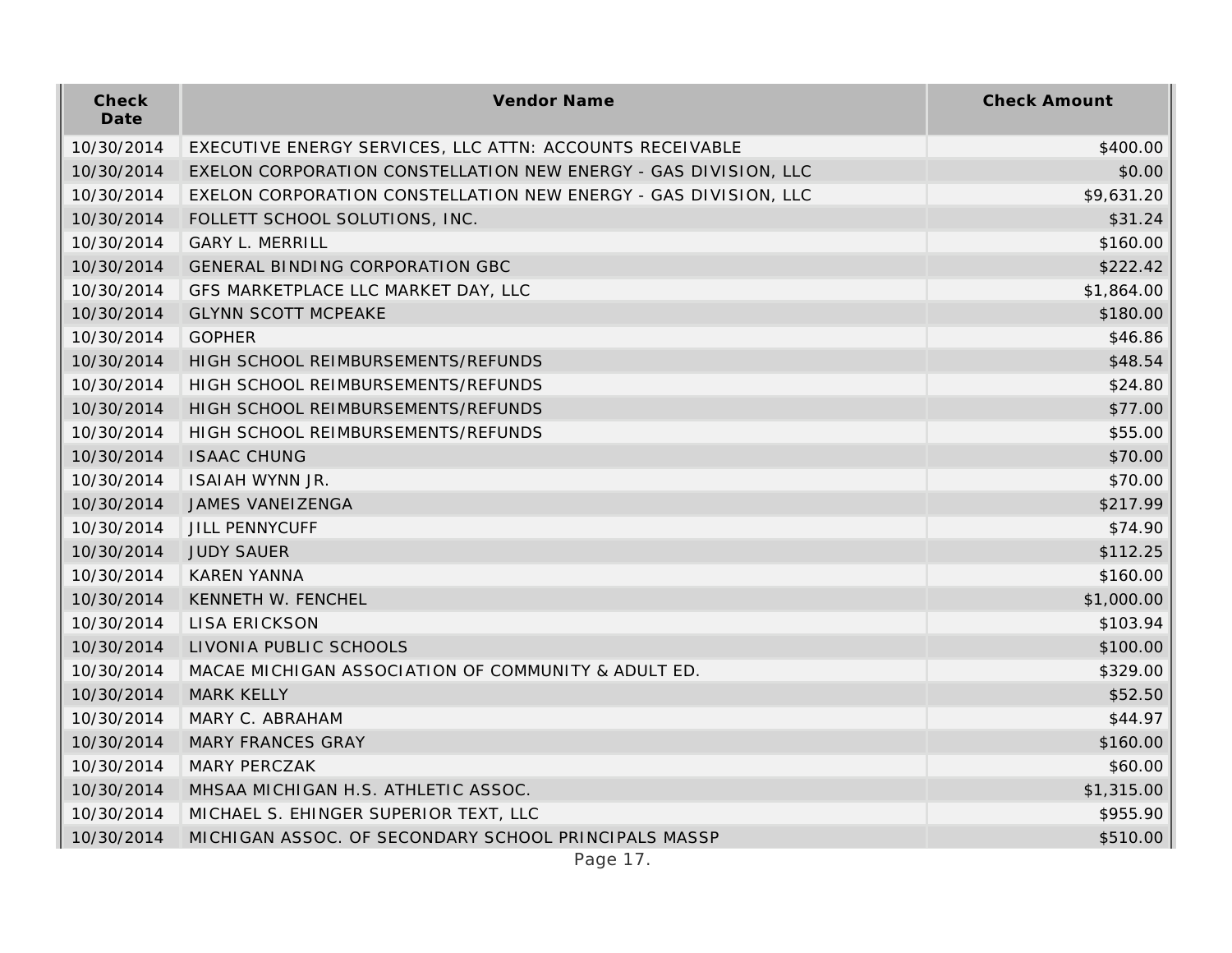| Check<br>Date | Vendor Name                                                     | <b>Check Amount</b> |
|---------------|-----------------------------------------------------------------|---------------------|
| 10/30/2014    | EXECUTIVE ENERGY SERVICES, LLC ATTN: ACCOUNTS RECEIVABLE        | \$400.00            |
| 10/30/2014    | EXELON CORPORATION CONSTELLATION NEW ENERGY - GAS DIVISION, LLC | \$0.00              |
| 10/30/2014    | EXELON CORPORATION CONSTELLATION NEW ENERGY - GAS DIVISION, LLC | \$9,631.20          |
| 10/30/2014    | FOLLETT SCHOOL SOLUTIONS, INC.                                  | \$31.24             |
| 10/30/2014    | <b>GARY L. MERRILL</b>                                          | \$160.00            |
| 10/30/2014    | <b>GENERAL BINDING CORPORATION GBC</b>                          | \$222.42            |
| 10/30/2014    | GFS MARKETPLACE LLC MARKET DAY, LLC                             | \$1,864.00          |
| 10/30/2014    | <b>GLYNN SCOTT MCPEAKE</b>                                      | \$180.00            |
| 10/30/2014    | <b>GOPHER</b>                                                   | \$46.86             |
| 10/30/2014    | HIGH SCHOOL REIMBURSEMENTS/REFUNDS                              | \$48.54             |
| 10/30/2014    | HIGH SCHOOL REIMBURSEMENTS/REFUNDS                              | \$24.80             |
| 10/30/2014    | HIGH SCHOOL REIMBURSEMENTS/REFUNDS                              | \$77.00             |
| 10/30/2014    | HIGH SCHOOL REIMBURSEMENTS/REFUNDS                              | \$55.00             |
| 10/30/2014    | <b>ISAAC CHUNG</b>                                              | \$70.00             |
| 10/30/2014    | <b>ISAIAH WYNN JR.</b>                                          | \$70.00             |
| 10/30/2014    | JAMES VANEIZENGA                                                | \$217.99            |
| 10/30/2014    | <b>JILL PENNYCUFF</b>                                           | \$74.90             |
| 10/30/2014    | <b>JUDY SAUER</b>                                               | \$112.25            |
| 10/30/2014    | <b>KAREN YANNA</b>                                              | \$160.00            |
| 10/30/2014    | KENNETH W. FENCHEL                                              | \$1,000.00          |
| 10/30/2014    | <b>LISA ERICKSON</b>                                            | \$103.94            |
| 10/30/2014    | LIVONIA PUBLIC SCHOOLS                                          | \$100.00            |
| 10/30/2014    | MACAE MICHIGAN ASSOCIATION OF COMMUNITY & ADULT ED.             | \$329.00            |
| 10/30/2014    | <b>MARK KELLY</b>                                               | \$52.50             |
| 10/30/2014    | MARY C. ABRAHAM                                                 | \$44.97             |
| 10/30/2014    | <b>MARY FRANCES GRAY</b>                                        | \$160.00            |
| 10/30/2014    | MARY PERCZAK                                                    | \$60.00             |
| 10/30/2014    | MHSAA MICHIGAN H.S. ATHLETIC ASSOC.                             | \$1,315.00          |
| 10/30/2014    | MICHAEL S. EHINGER SUPERIOR TEXT, LLC                           | \$955.90            |
| 10/30/2014    | MICHIGAN ASSOC. OF SECONDARY SCHOOL PRINCIPALS MASSP            | \$510.00            |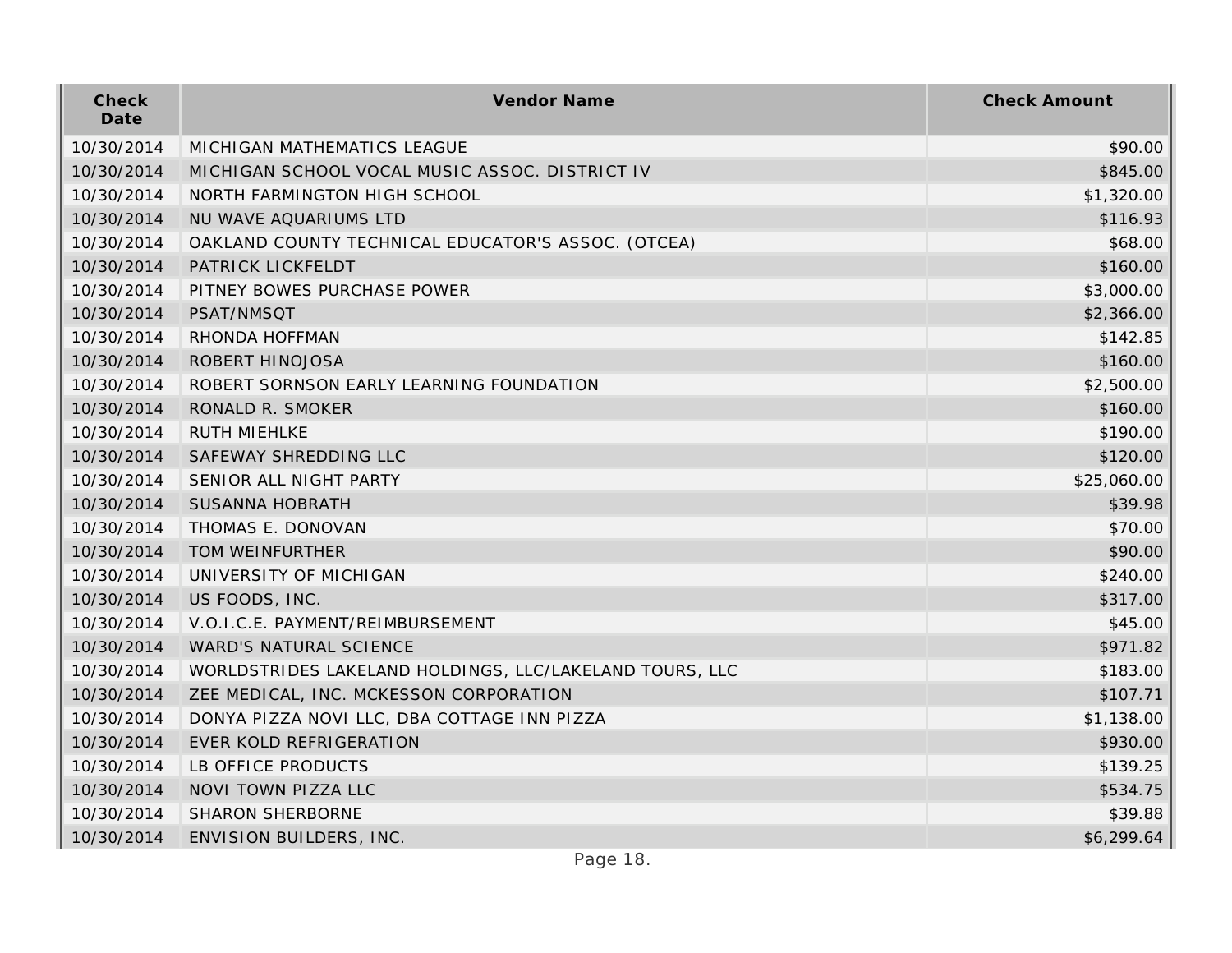| Check<br>Date | Vendor Name                                             | <b>Check Amount</b> |
|---------------|---------------------------------------------------------|---------------------|
| 10/30/2014    | MICHIGAN MATHEMATICS LEAGUE                             | \$90.00             |
| 10/30/2014    | MICHIGAN SCHOOL VOCAL MUSIC ASSOC. DISTRICT IV          | \$845.00            |
| 10/30/2014    | NORTH FARMINGTON HIGH SCHOOL                            | \$1,320.00          |
| 10/30/2014    | NU WAVE AQUARIUMS LTD                                   | \$116.93            |
| 10/30/2014    | OAKLAND COUNTY TECHNICAL EDUCATOR'S ASSOC. (OTCEA)      | \$68.00             |
| 10/30/2014    | PATRICK LICKFELDT                                       | \$160.00            |
| 10/30/2014    | PITNEY BOWES PURCHASE POWER                             | \$3,000.00          |
| 10/30/2014    | PSAT/NMSQT                                              | \$2,366.00          |
| 10/30/2014    | RHONDA HOFFMAN                                          | \$142.85            |
| 10/30/2014    | ROBERT HINOJOSA                                         | \$160.00            |
| 10/30/2014    | ROBERT SORNSON EARLY LEARNING FOUNDATION                | \$2,500.00          |
| 10/30/2014    | RONALD R. SMOKER                                        | \$160.00            |
| 10/30/2014    | RUTH MIEHLKE                                            | \$190.00            |
| 10/30/2014    | SAFEWAY SHREDDING LLC                                   | \$120.00            |
| 10/30/2014    | SENIOR ALL NIGHT PARTY                                  | \$25,060.00         |
| 10/30/2014    | <b>SUSANNA HOBRATH</b>                                  | \$39.98             |
| 10/30/2014    | THOMAS E. DONOVAN                                       | \$70.00             |
| 10/30/2014    | TOM WEINFURTHER                                         | \$90.00             |
| 10/30/2014    | UNIVERSITY OF MICHIGAN                                  | \$240.00            |
| 10/30/2014    | US FOODS, INC.                                          | \$317.00            |
| 10/30/2014    | V.O.I.C.E. PAYMENT/REIMBURSEMENT                        | \$45.00             |
| 10/30/2014    | WARD'S NATURAL SCIENCE                                  | \$971.82            |
| 10/30/2014    | WORLDSTRIDES LAKELAND HOLDINGS, LLC/LAKELAND TOURS, LLC | \$183.00            |
| 10/30/2014    | ZEE MEDICAL, INC. MCKESSON CORPORATION                  | \$107.71            |
| 10/30/2014    | DONYA PIZZA NOVI LLC, DBA COTTAGE INN PIZZA             | \$1,138.00          |
| 10/30/2014    | EVER KOLD REFRIGERATION                                 | \$930.00            |
| 10/30/2014    | LB OFFICE PRODUCTS                                      | \$139.25            |
| 10/30/2014    | NOVI TOWN PIZZA LLC                                     | \$534.75            |
| 10/30/2014    | <b>SHARON SHERBORNE</b>                                 | \$39.88             |
| 10/30/2014    | ENVISION BUILDERS, INC.                                 | \$6,299.64          |